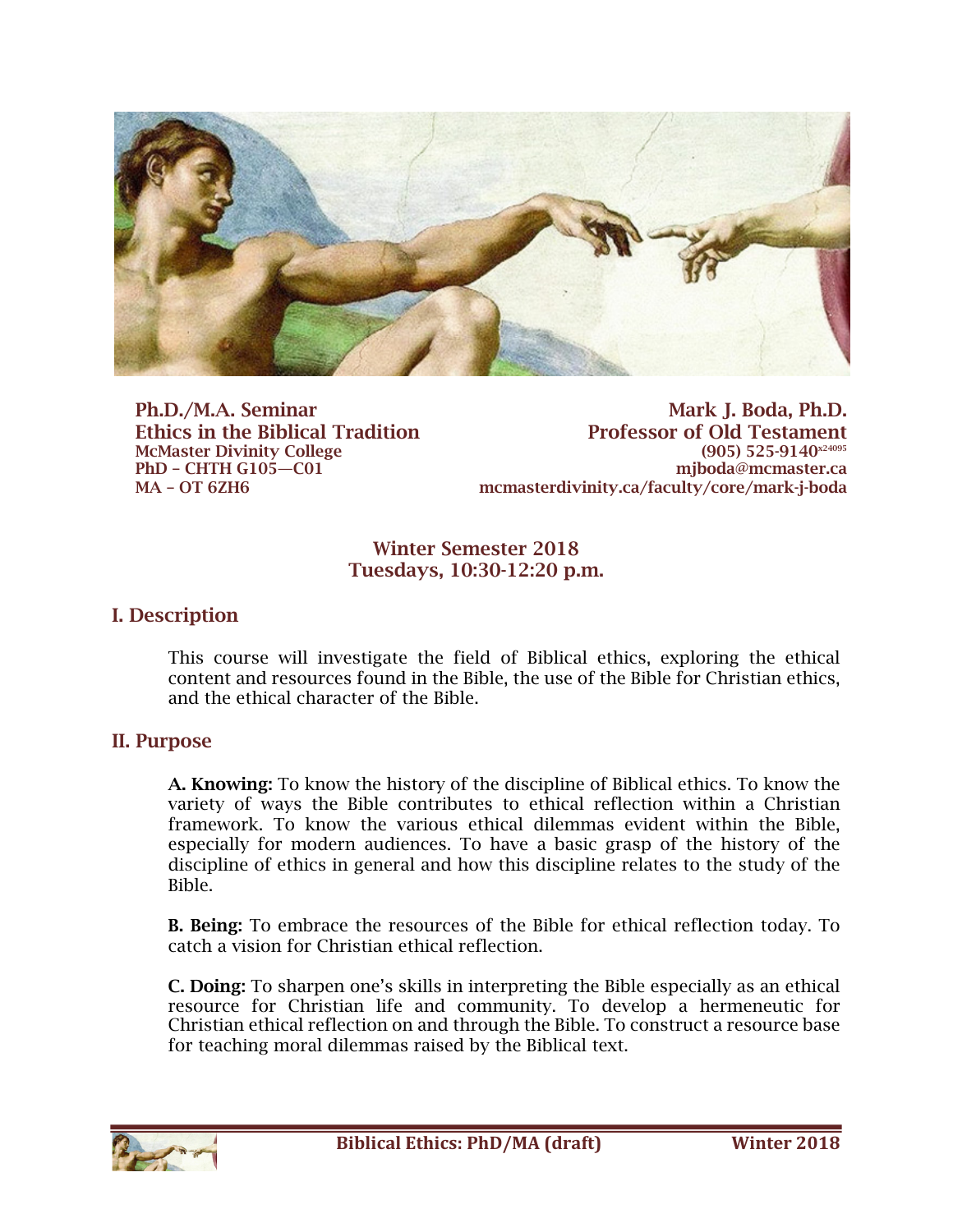

Ph.D./M.A. Seminar Ethics in the Biblical Tradition McMaster Divinity College PhD – CHTH G105—C01 MA – OT 6ZH6

Mark J. Boda, Ph.D. Professor of Old Testament (905) 525-9140<sup>x24095</sup> mjboda@mcmaster.ca mcmasterdivinity.ca/faculty/core/mark-j-boda

### Winter Semester 2018 Tuesdays, 10:30-12:20 p.m.

### I. Description

This course will investigate the field of Biblical ethics, exploring the ethical content and resources found in the Bible, the use of the Bible for Christian ethics, and the ethical character of the Bible.

### II. Purpose

A. Knowing: To know the history of the discipline of Biblical ethics. To know the variety of ways the Bible contributes to ethical reflection within a Christian framework. To know the various ethical dilemmas evident within the Bible, especially for modern audiences. To have a basic grasp of the history of the discipline of ethics in general and how this discipline relates to the study of the Bible.

B. Being: To embrace the resources of the Bible for ethical reflection today. To catch a vision for Christian ethical reflection.

C. Doing: To sharpen one's skills in interpreting the Bible especially as an ethical resource for Christian life and community. To develop a hermeneutic for Christian ethical reflection on and through the Bible. To construct a resource base for teaching moral dilemmas raised by the Biblical text.

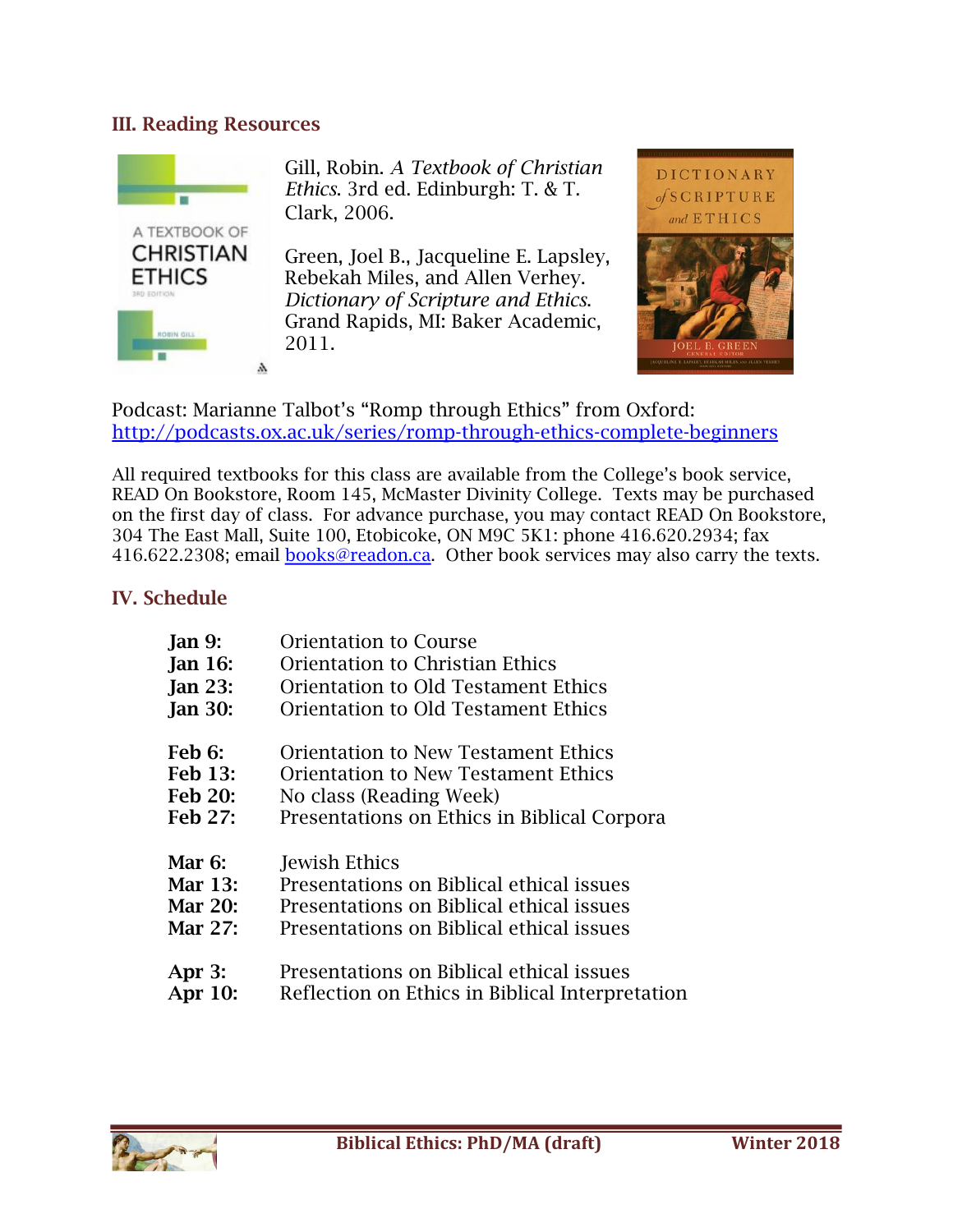### III. Reading Resources



Gill, Robin. *A Textbook of Christian Ethics*. 3rd ed. Edinburgh: T. & T. Clark, 2006.

Green, Joel B., Jacqueline E. Lapsley, Rebekah Miles, and Allen Verhey. *Dictionary of Scripture and Ethics*. Grand Rapids, MI: Baker Academic, 2011.



Podcast: Marianne Talbot's "Romp through Ethics" from Oxford: http://podcasts.ox.ac.uk/series/romp-through-ethics-complete-beginners

All required textbooks for this class are available from the College's book service, READ On Bookstore, Room 145, McMaster Divinity College. Texts may be purchased on the first day of class. For advance purchase, you may contact READ On Bookstore, 304 The East Mall, Suite 100, Etobicoke, ON M9C 5K1: phone 416.620.2934; fax 416.622.2308; email **books@readon.ca**. Other book services may also carry the texts.

## IV. Schedule

| <b>Jan 9:</b>  | <b>Orientation to Course</b>                    |
|----------------|-------------------------------------------------|
| <b>Jan 16:</b> | <b>Orientation to Christian Ethics</b>          |
| <b>Jan 23:</b> | Orientation to Old Testament Ethics             |
| <b>Jan 30:</b> | Orientation to Old Testament Ethics             |
| <b>Feb 6:</b>  | <b>Orientation to New Testament Ethics</b>      |
| <b>Feb 13:</b> | <b>Orientation to New Testament Ethics</b>      |
| <b>Feb 20:</b> | No class (Reading Week)                         |
| Feb 27:        | Presentations on Ethics in Biblical Corpora     |
| Mar $6:$       | Jewish Ethics                                   |
| Mar 13:        | Presentations on Biblical ethical issues        |
| Mar 20:        | Presentations on Biblical ethical issues        |
| Mar 27:        | Presentations on Biblical ethical issues        |
| Apr $3:$       | Presentations on Biblical ethical issues        |
| Apr 10:        | Reflection on Ethics in Biblical Interpretation |

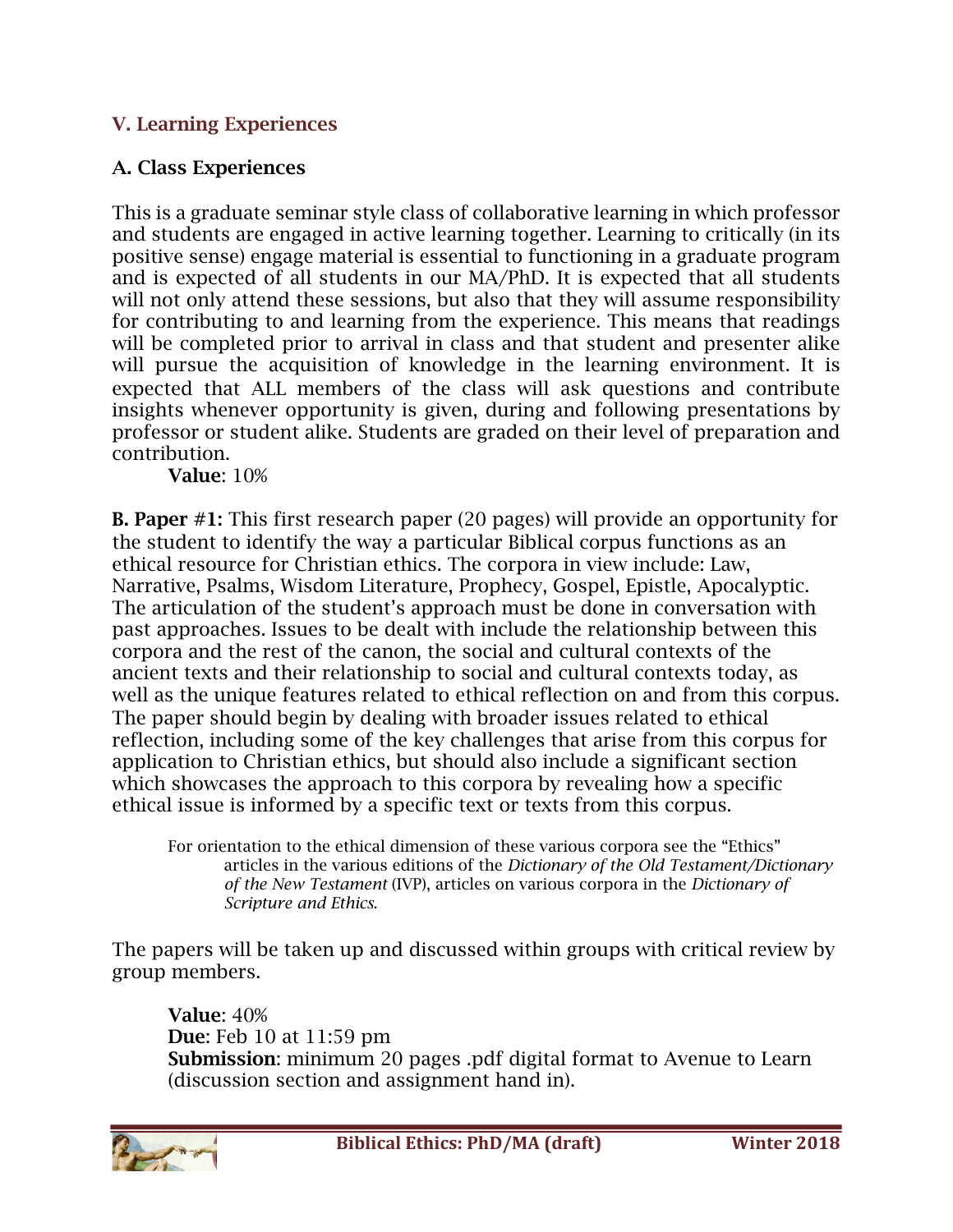# V. Learning Experiences

# A. Class Experiences

This is a graduate seminar style class of collaborative learning in which professor and students are engaged in active learning together. Learning to critically (in its positive sense) engage material is essential to functioning in a graduate program and is expected of all students in our MA/PhD. It is expected that all students will not only attend these sessions, but also that they will assume responsibility for contributing to and learning from the experience. This means that readings will be completed prior to arrival in class and that student and presenter alike will pursue the acquisition of knowledge in the learning environment. It is expected that ALL members of the class will ask questions and contribute insights whenever opportunity is given, during and following presentations by professor or student alike. Students are graded on their level of preparation and contribution.

Value: 10%

B. Paper #1: This first research paper (20 pages) will provide an opportunity for the student to identify the way a particular Biblical corpus functions as an ethical resource for Christian ethics. The corpora in view include: Law, Narrative, Psalms, Wisdom Literature, Prophecy, Gospel, Epistle, Apocalyptic. The articulation of the student's approach must be done in conversation with past approaches. Issues to be dealt with include the relationship between this corpora and the rest of the canon, the social and cultural contexts of the ancient texts and their relationship to social and cultural contexts today, as well as the unique features related to ethical reflection on and from this corpus. The paper should begin by dealing with broader issues related to ethical reflection, including some of the key challenges that arise from this corpus for application to Christian ethics, but should also include a significant section which showcases the approach to this corpora by revealing how a specific ethical issue is informed by a specific text or texts from this corpus.

For orientation to the ethical dimension of these various corpora see the "Ethics" articles in the various editions of the *Dictionary of the Old Testament/Dictionary of the New Testament* (IVP), articles on various corpora in the *Dictionary of Scripture and Ethics*.

The papers will be taken up and discussed within groups with critical review by group members.

Value: 40% Due: Feb 10 at 11:59 pm Submission: minimum 20 pages .pdf digital format to Avenue to Learn (discussion section and assignment hand in).

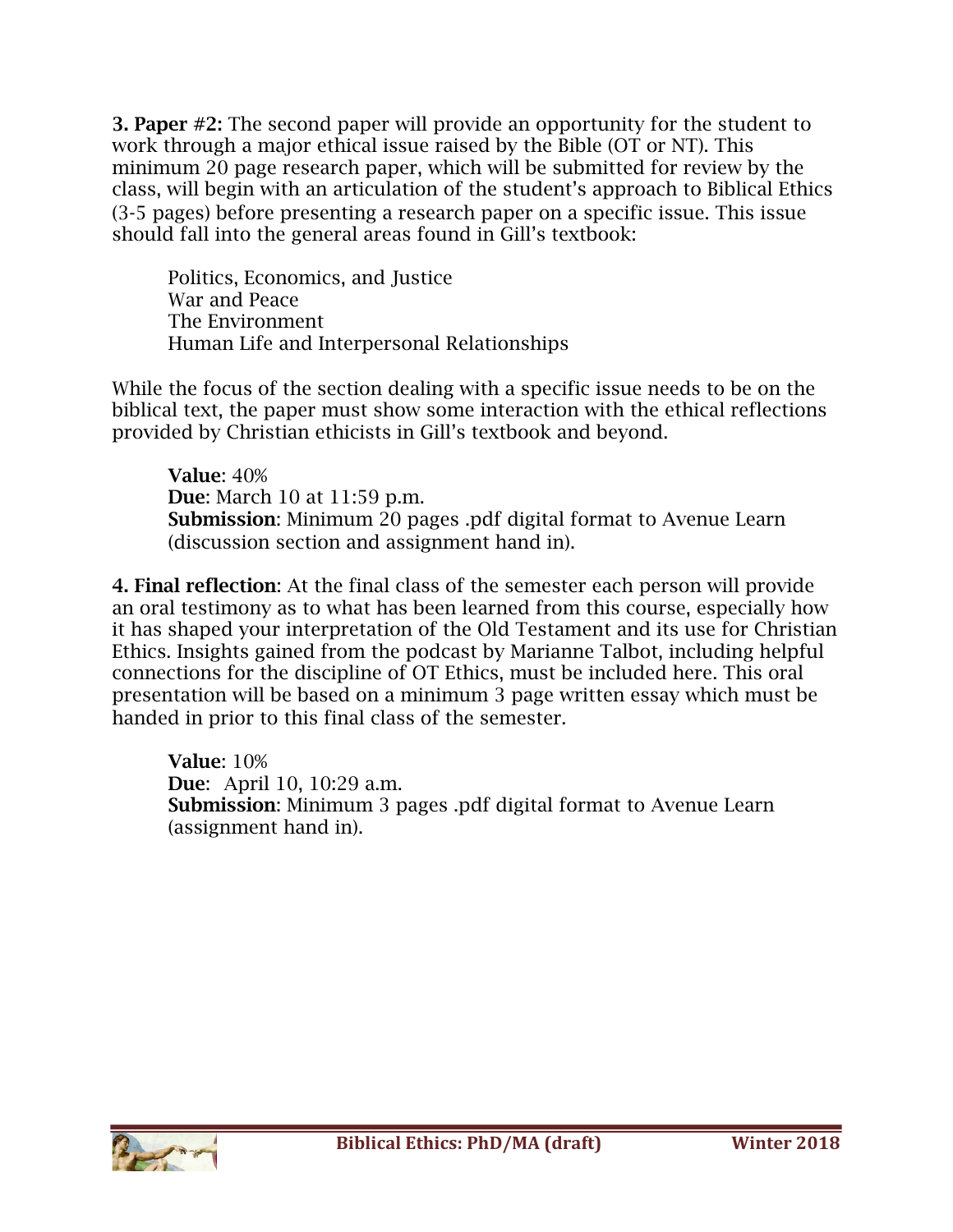3. Paper #2: The second paper will provide an opportunity for the student to work through a major ethical issue raised by the Bible (OT or NT). This minimum 20 page research paper, which will be submitted for review by the class, will begin with an articulation of the student's approach to Biblical Ethics (3-5 pages) before presenting a research paper on a specific issue. This issue should fall into the general areas found in Gill's textbook:

Politics, Economics, and Justice War and Peace The Environment Human Life and Interpersonal Relationships

While the focus of the section dealing with a specific issue needs to be on the biblical text, the paper must show some interaction with the ethical reflections provided by Christian ethicists in Gill's textbook and beyond.

Value: 40% Due: March 10 at 11:59 p.m. Submission: Minimum 20 pages .pdf digital format to Avenue Learn (discussion section and assignment hand in).

4. Final reflection: At the final class of the semester each person will provide an oral testimony as to what has been learned from this course, especially how it has shaped your interpretation of the Old Testament and its use for Christian Ethics. Insights gained from the podcast by Marianne Talbot, including helpful connections for the discipline of OT Ethics, must be included here. This oral presentation will be based on a minimum 3 page written essay which must be handed in prior to this final class of the semester.

Value: 10% Due: April 10, 10:29 a.m. Submission: Minimum 3 pages .pdf digital format to Avenue Learn (assignment hand in).

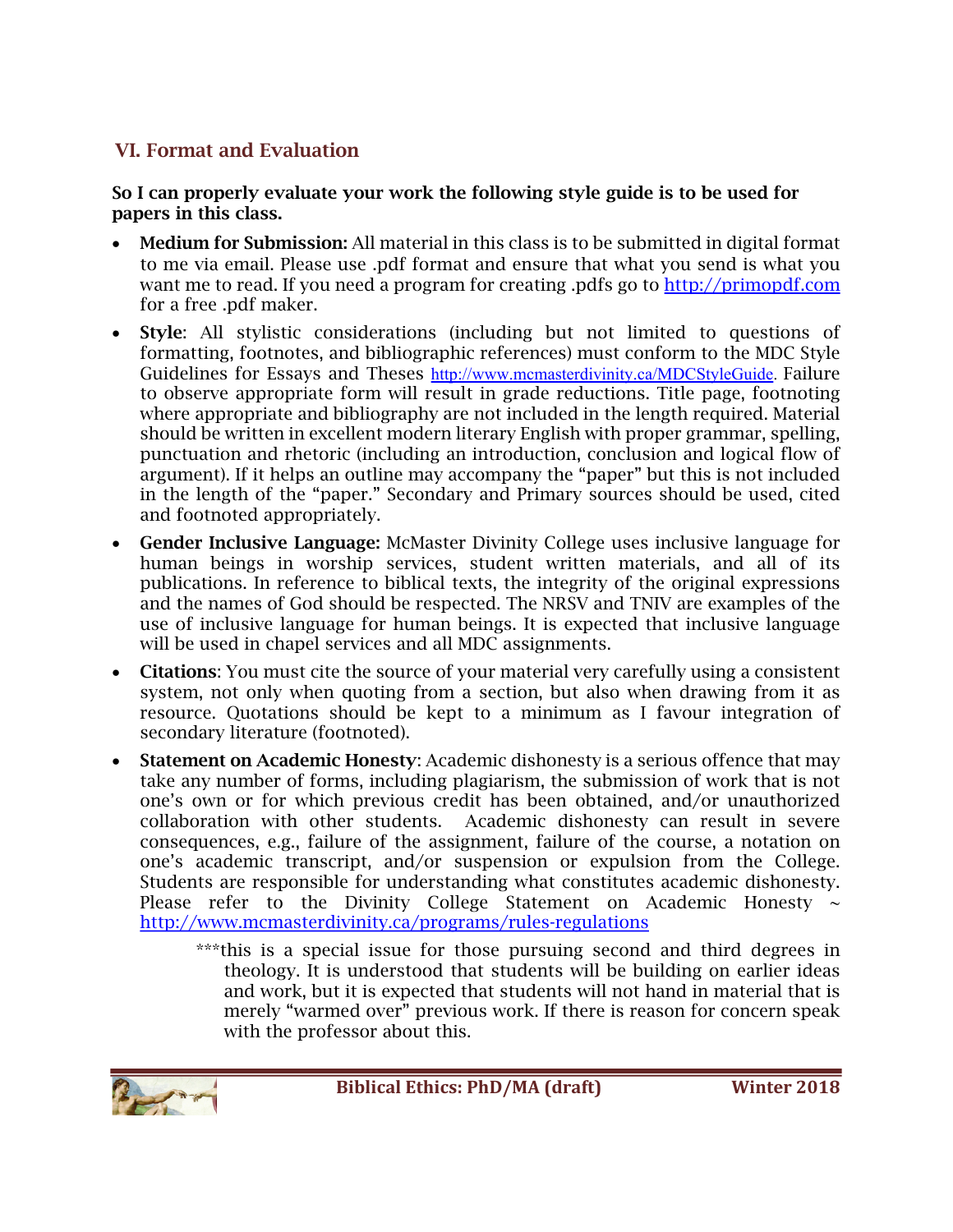# VI. Format and Evaluation

### So I can properly evaluate your work the following style guide is to be used for papers in this class.

- **Medium for Submission:** All material in this class is to be submitted in digital format to me via email. Please use .pdf format and ensure that what you send is what you want me to read. If you need a program for creating .pdfs go to http://primopdf.com for a free .pdf maker.
- Style: All stylistic considerations (including but not limited to questions of formatting, footnotes, and bibliographic references) must conform to the MDC Style Guidelines for Essays and Theses http://www.mcmasterdivinity.ca/MDCStyleGuide. Failure to observe appropriate form will result in grade reductions. Title page, footnoting where appropriate and bibliography are not included in the length required. Material should be written in excellent modern literary English with proper grammar, spelling, punctuation and rhetoric (including an introduction, conclusion and logical flow of argument). If it helps an outline may accompany the "paper" but this is not included in the length of the "paper." Secondary and Primary sources should be used, cited and footnoted appropriately.
- Gender Inclusive Language: McMaster Divinity College uses inclusive language for human beings in worship services, student written materials, and all of its publications. In reference to biblical texts, the integrity of the original expressions and the names of God should be respected. The NRSV and TNIV are examples of the use of inclusive language for human beings. It is expected that inclusive language will be used in chapel services and all MDC assignments.
- Citations: You must cite the source of your material very carefully using a consistent system, not only when quoting from a section, but also when drawing from it as resource. Quotations should be kept to a minimum as I favour integration of secondary literature (footnoted).
- Statement on Academic Honesty: Academic dishonesty is a serious offence that may take any number of forms, including plagiarism, the submission of work that is not one's own or for which previous credit has been obtained, and/or unauthorized collaboration with other students. Academic dishonesty can result in severe consequences, e.g., failure of the assignment, failure of the course, a notation on one's academic transcript, and/or suspension or expulsion from the College. Students are responsible for understanding what constitutes academic dishonesty. Please refer to the Divinity College Statement on Academic Honesty  $\sim$ http://www.mcmasterdivinity.ca/programs/rules-regulations
	- \*\*\*this is a special issue for those pursuing second and third degrees in theology. It is understood that students will be building on earlier ideas and work, but it is expected that students will not hand in material that is merely "warmed over" previous work. If there is reason for concern speak with the professor about this.

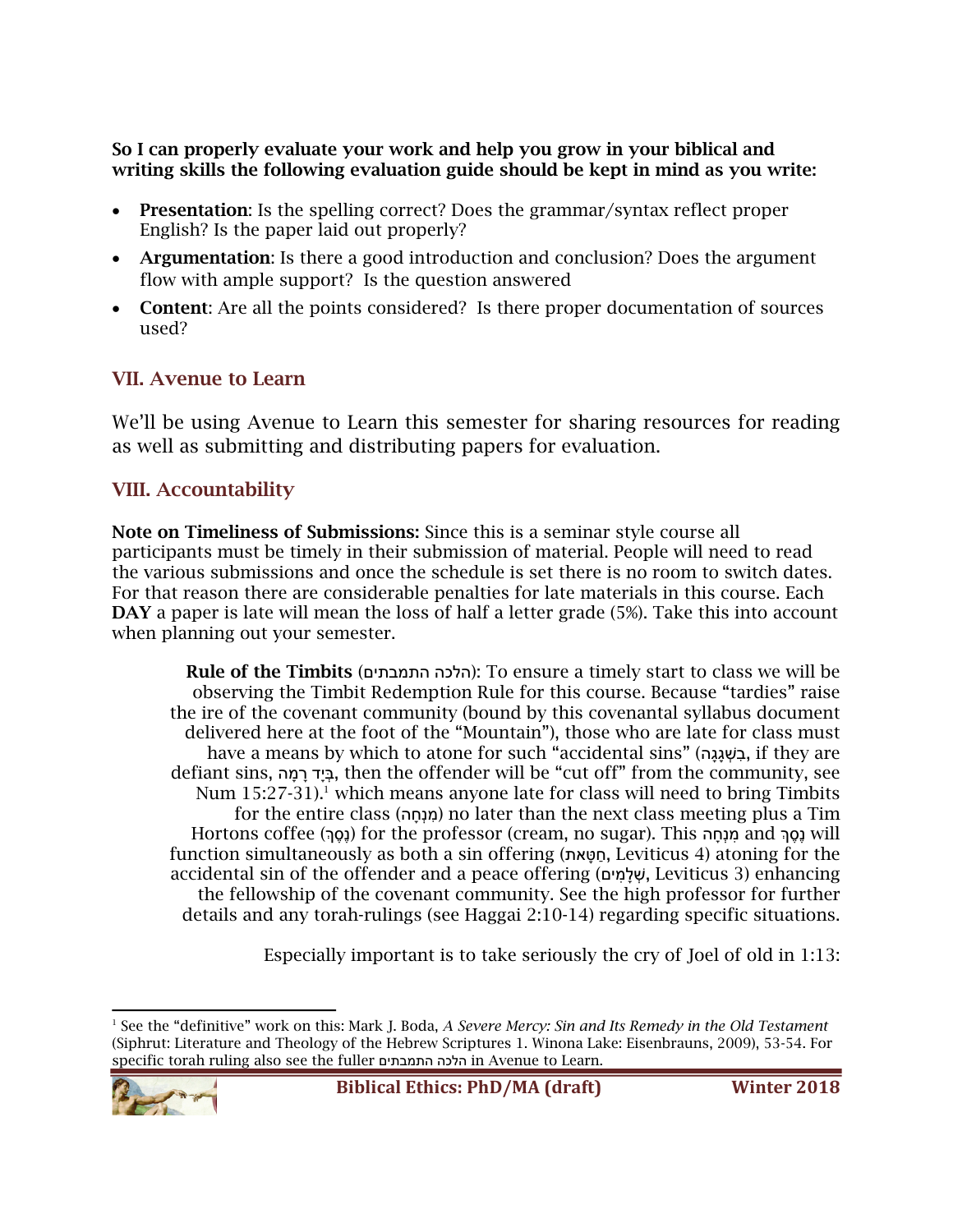So I can properly evaluate your work and help you grow in your biblical and writing skills the following evaluation guide should be kept in mind as you write:

- Presentation: Is the spelling correct? Does the grammar/syntax reflect proper English? Is the paper laid out properly?
- Argumentation: Is there a good introduction and conclusion? Does the argument flow with ample support? Is the question answered
- Content: Are all the points considered? Is there proper documentation of sources used?

## VII. Avenue to Learn

We'll be using Avenue to Learn this semester for sharing resources for reading as well as submitting and distributing papers for evaluation.

## VIII. Accountability

Note on Timeliness of Submissions: Since this is a seminar style course all participants must be timely in their submission of material. People will need to read the various submissions and once the schedule is set there is no room to switch dates. For that reason there are considerable penalties for late materials in this course. Each DAY a paper is late will mean the loss of half a letter grade (5%). Take this into account when planning out your semester.

Rule of the Timbits (הלכה התמבתים): To ensure a timely start to class we will be observing the Timbit Redemption Rule for this course. Because "tardies" raise the ire of the covenant community (bound by this covenantal syllabus document delivered here at the foot of the "Mountain"), those who are late for class must have a means by which to atone for such "accidental sins" (בּשְׁגֵּגָה, if they are defiant sins, מהָ רָ דָבּיְ , then the offender will be "cut off" from the community, see Num  $15:27-31$ .<sup>1</sup> which means anyone late for class will need to bring Timbits for the entire class (מנְחֵה) no later than the next class meeting plus a Tim Hortons coffee (נסה) for the professor (cream, no sugar). This חנה and  $\mu$ will function simultaneously as both a sin offering (טּאתָ חַ , Leviticus 4) atoning for the accidental sin of the offender and a peace offering (שִׁלמִים, Leviticus 3) enhancing the fellowship of the covenant community. See the high professor for further details and any torah-rulings (see Haggai 2:10-14) regarding specific situations.

Especially important is to take seriously the cry of Joel of old in 1:13:

l <sup>1</sup> See the "definitive" work on this: Mark J. Boda, *A Severe Mercy: Sin and Its Remedy in the Old Testament* (Siphrut: Literature and Theology of the Hebrew Scriptures 1. Winona Lake: Eisenbrauns, 2009), 53-54. For specific torah ruling also see the fuller הכלה םיתבמתה in Avenue to Learn.

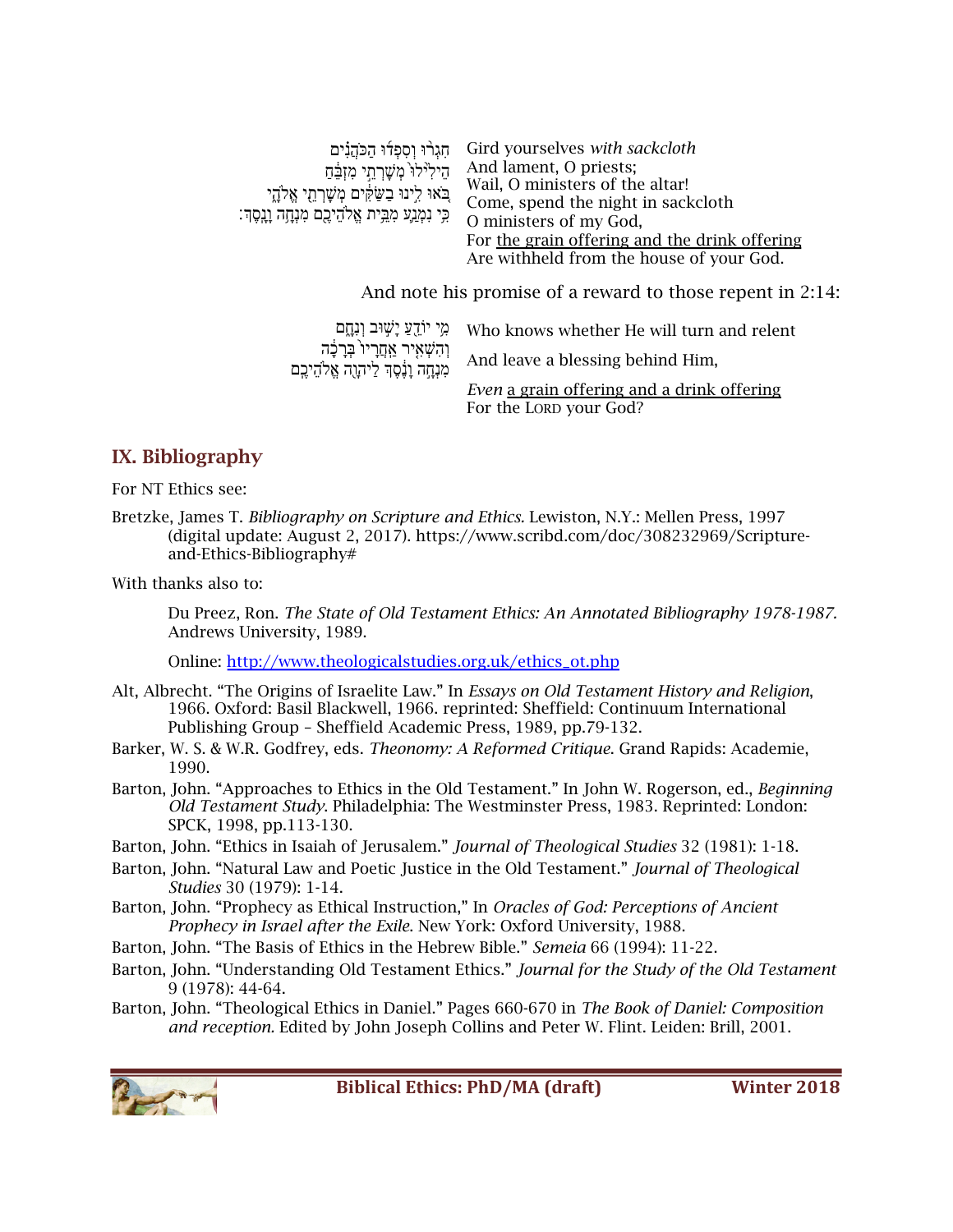| חָגְרוּ וְסְפְדוּ הַכֹּהֲנִים<br>הֵילִיּלוֹ מִשָּׁרְחֵי מִזְבֵּٰחַ<br>ְבֹאוּ לִינוּ בַשַּׂקִּים מְשָׁרְהָי אֱלֹהֶי<br>ִכִּי נִמְנַע מְבִית אֱלֹהֵיכֶם מִנְחָה וָנָסֶךָ: | Gird yourselves with sackcloth<br>And lament, O priests;<br>Wail, O ministers of the altar!<br>Come, spend the night in sackcloth<br>O ministers of my God,<br>For the grain offering and the drink offering<br>Are withheld from the house of your God. |
|-------------------------------------------------------------------------------------------------------------------------------------------------------------------------|----------------------------------------------------------------------------------------------------------------------------------------------------------------------------------------------------------------------------------------------------------|
|                                                                                                                                                                         |                                                                                                                                                                                                                                                          |

And note his promise of a reward to those repent in 2:14:

|                                                                                            | יוֹרֵעֲ יָשׁוּבּ וְנָחֲם Who knows whether He will turn and relent |
|--------------------------------------------------------------------------------------------|--------------------------------------------------------------------|
| וְהִשְׁאָיר <u>אַ</u> חֲרָיו <sup>י</sup> בְּרָבָה<br>מִנְחָה וָנֶסֶךְ לַיהָוֶה אֱלֹהֵיכֶם | And leave a blessing behind Him,                                   |
|                                                                                            | <i>Even</i> a grain offering and a drink offering                  |
|                                                                                            | For the LORD your God?                                             |

# IX. Bibliography

For NT Ethics see:

Bretzke, James T. *Bibliography on Scripture and Ethics.* Lewiston, N.Y.: Mellen Press, 1997 (digital update: August 2, 2017). https://www.scribd.com/doc/308232969/Scriptureand-Ethics-Bibliography#

With thanks also to:

Du Preez, Ron. *The State of Old Testament Ethics: An Annotated Bibliography 1978-1987.*  Andrews University, 1989.

Online: http://www.theologicalstudies.org.uk/ethics\_ot.php

- Alt, Albrecht. "The Origins of Israelite Law." In *Essays on Old Testament History and Religion*, 1966. Oxford: Basil Blackwell, 1966. reprinted: Sheffield: Continuum International Publishing Group – Sheffield Academic Press, 1989, pp.79-132.
- Barker, W. S. & W.R. Godfrey, eds. *Theonomy: A Reformed Critique*. Grand Rapids: Academie, 1990.
- Barton, John. "Approaches to Ethics in the Old Testament." In John W. Rogerson, ed., *Beginning Old Testament Study*. Philadelphia: The Westminster Press, 1983. Reprinted: London: SPCK, 1998, pp.113-130.
- Barton, John. "Ethics in Isaiah of Jerusalem." *Journal of Theological Studies* 32 (1981): 1-18.
- Barton, John. "Natural Law and Poetic Justice in the Old Testament." *Journal of Theological Studies* 30 (1979): 1-14.
- Barton, John. "Prophecy as Ethical Instruction," In *Oracles of God: Perceptions of Ancient Prophecy in Israel after the Exile*. New York: Oxford University, 1988.
- Barton, John. "The Basis of Ethics in the Hebrew Bible." *Semeia* 66 (1994): 11-22.
- Barton, John. "Understanding Old Testament Ethics." *Journal for the Study of the Old Testament*  9 (1978): 44-64.
- Barton, John. "Theological Ethics in Daniel." Pages 660-670 in *The Book of Daniel: Composition and reception.* Edited by John Joseph Collins and Peter W. Flint. Leiden: Brill, 2001.

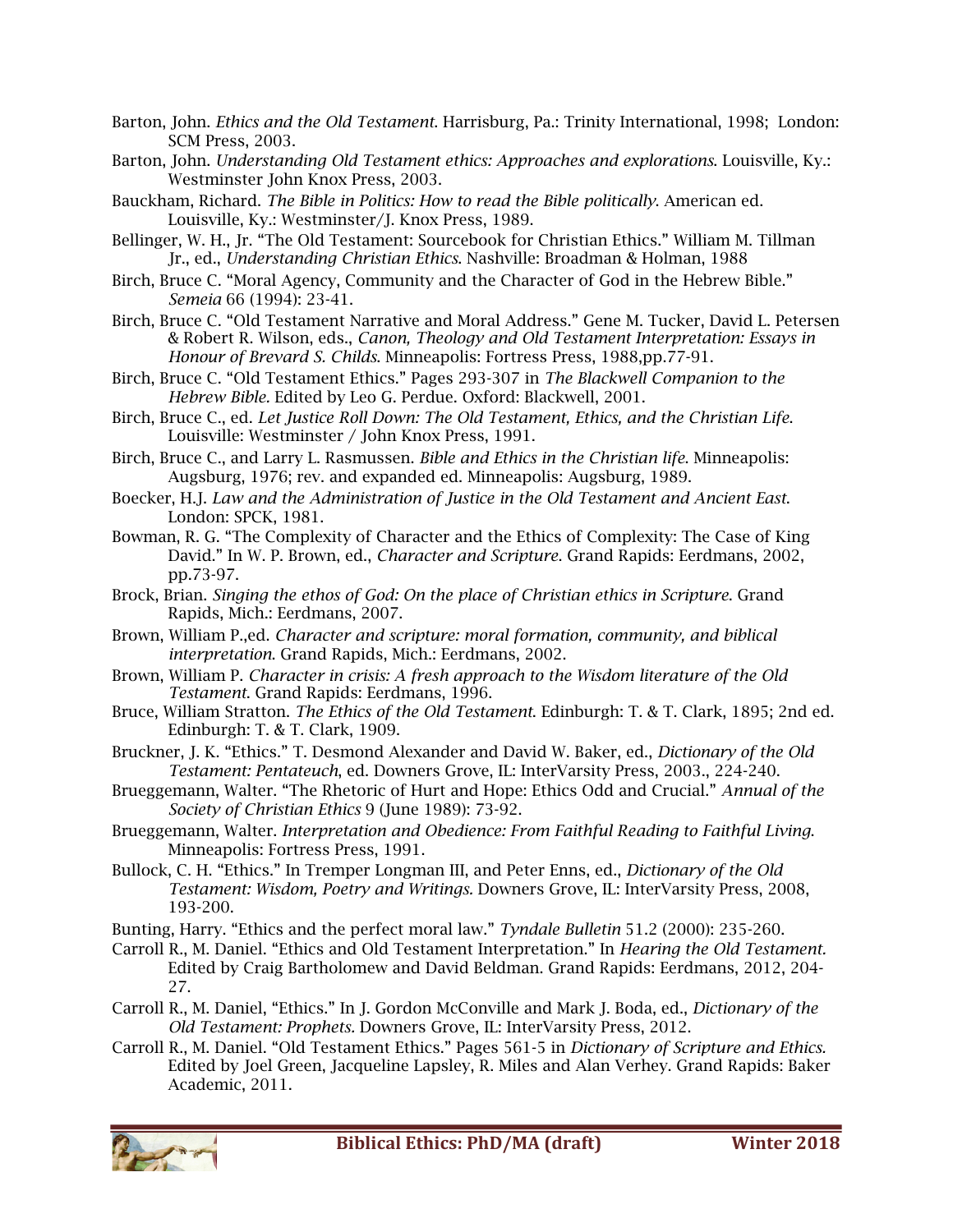- Barton, John. *Ethics and the Old Testament*. Harrisburg, Pa.: Trinity International, 1998; London: SCM Press, 2003.
- Barton, John. *Understanding Old Testament ethics: Approaches and explorations*. Louisville, Ky.: Westminster John Knox Press, 2003.
- Bauckham, Richard. *The Bible in Politics: How to read the Bible politically*. American ed. Louisville, Ky.: Westminster/J. Knox Press, 1989.
- Bellinger, W. H., Jr. "The Old Testament: Sourcebook for Christian Ethics." William M. Tillman Jr., ed., *Understanding Christian Ethics*. Nashville: Broadman & Holman, 1988
- Birch, Bruce C. "Moral Agency, Community and the Character of God in the Hebrew Bible." *Semeia* 66 (1994): 23-41.
- Birch, Bruce C. "Old Testament Narrative and Moral Address." Gene M. Tucker, David L. Petersen & Robert R. Wilson, eds., *Canon, Theology and Old Testament Interpretation: Essays in Honour of Brevard S. Childs*. Minneapolis: Fortress Press, 1988,pp.77-91.
- Birch, Bruce C. "Old Testament Ethics." Pages 293-307 in *The Blackwell Companion to the Hebrew Bible.* Edited by Leo G. Perdue. Oxford: Blackwell, 2001.
- Birch, Bruce C., ed. *Let Justice Roll Down: The Old Testament, Ethics, and the Christian Life*. Louisville: Westminster / John Knox Press, 1991.
- Birch, Bruce C., and Larry L. Rasmussen. *Bible and Ethics in the Christian life*. Minneapolis: Augsburg, 1976; rev. and expanded ed. Minneapolis: Augsburg, 1989.
- Boecker, H.J. *Law and the Administration of Justice in the Old Testament and Ancient East*. London: SPCK, 1981.
- Bowman, R. G. "The Complexity of Character and the Ethics of Complexity: The Case of King David." In W. P. Brown, ed., *Character and Scripture*. Grand Rapids: Eerdmans, 2002, pp.73-97.
- Brock, Brian. *Singing the ethos of God: On the place of Christian ethics in Scripture*. Grand Rapids, Mich.: Eerdmans, 2007.
- Brown, William P.,ed. *Character and scripture: moral formation, community, and biblical interpretation*. Grand Rapids, Mich.: Eerdmans, 2002.
- Brown, William P. *Character in crisis: A fresh approach to the Wisdom literature of the Old Testament*. Grand Rapids: Eerdmans, 1996.
- Bruce, William Stratton. *The Ethics of the Old Testament*. Edinburgh: T. & T. Clark, 1895; 2nd ed. Edinburgh: T. & T. Clark, 1909.
- Bruckner, J. K. "Ethics." T. Desmond Alexander and David W. Baker, ed., *Dictionary of the Old Testament: Pentateuch*, ed. Downers Grove, IL: InterVarsity Press, 2003., 224-240.
- Brueggemann, Walter. "The Rhetoric of Hurt and Hope: Ethics Odd and Crucial." *Annual of the Society of Christian Ethics* 9 (June 1989): 73-92.
- Brueggemann, Walter. *Interpretation and Obedience: From Faithful Reading to Faithful Living*. Minneapolis: Fortress Press, 1991.
- Bullock, C. H. "Ethics." In Tremper Longman III, and Peter Enns, ed., *Dictionary of the Old Testament: Wisdom, Poetry and Writings.* Downers Grove, IL: InterVarsity Press, 2008, 193-200.
- Bunting, Harry. "Ethics and the perfect moral law." *Tyndale Bulletin* 51.2 (2000): 235-260.
- Carroll R., M. Daniel. "Ethics and Old Testament Interpretation." In *Hearing the Old Testament.* Edited by Craig Bartholomew and David Beldman. Grand Rapids: Eerdmans, 2012, 204- 27.
- Carroll R., M. Daniel, "Ethics." In J. Gordon McConville and Mark J. Boda, ed., *Dictionary of the Old Testament: Prophets.* Downers Grove, IL: InterVarsity Press, 2012.
- Carroll R., M. Daniel. "Old Testament Ethics." Pages 561-5 in *Dictionary of Scripture and Ethics.* Edited by Joel Green, Jacqueline Lapsley, R. Miles and Alan Verhey. Grand Rapids: Baker Academic, 2011.

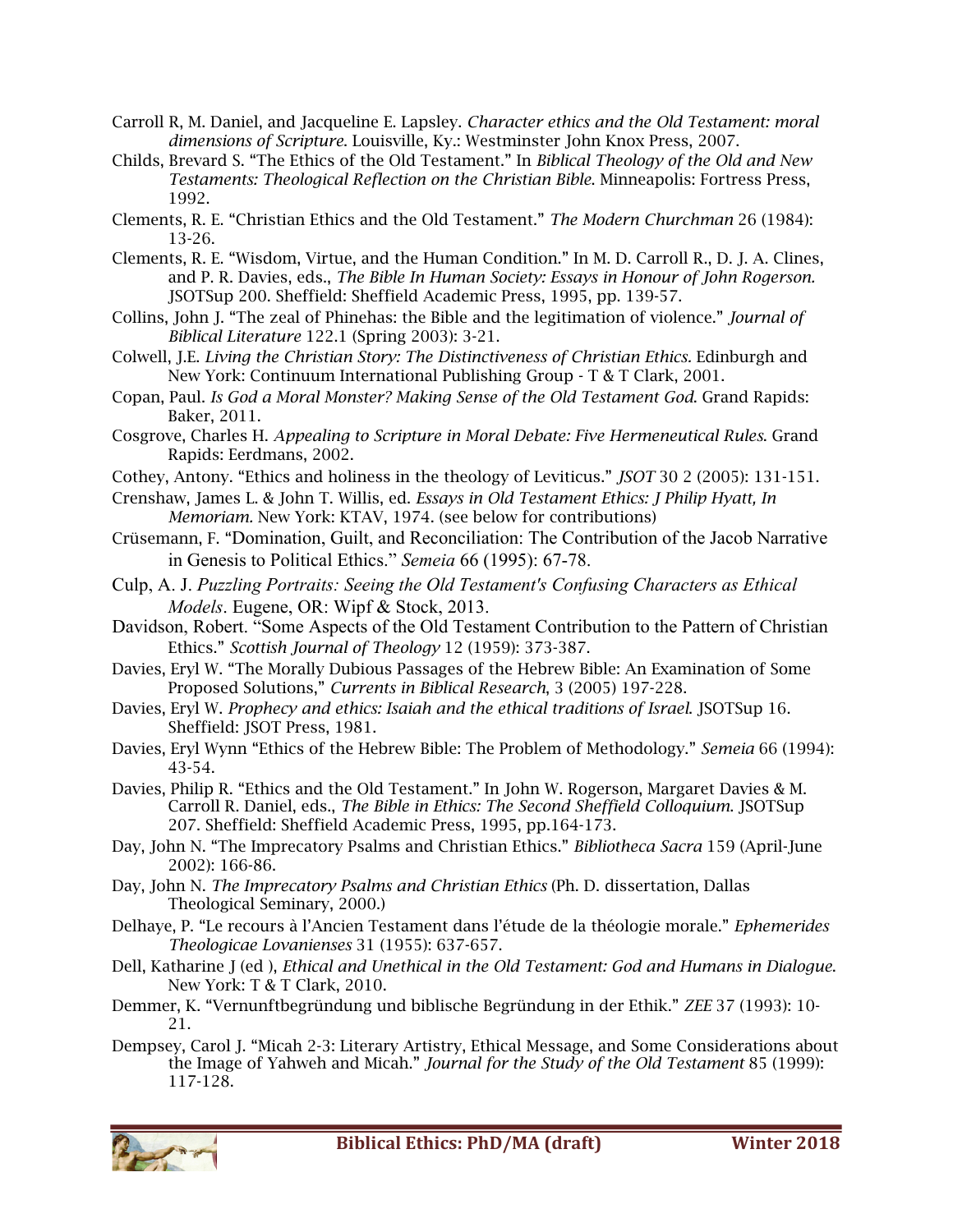- Carroll R, M. Daniel, and Jacqueline E. Lapsley. *Character ethics and the Old Testament: moral dimensions of Scripture*. Louisville, Ky.: Westminster John Knox Press, 2007.
- Childs, Brevard S. "The Ethics of the Old Testament." In *Biblical Theology of the Old and New Testaments: Theological Reflection on the Christian Bible*. Minneapolis: Fortress Press, 1992.
- Clements, R. E. "Christian Ethics and the Old Testament." *The Modern Churchman* 26 (1984): 13-26.
- Clements, R. E. "Wisdom, Virtue, and the Human Condition." In M. D. Carroll R., D. J. A. Clines, and P. R. Davies, eds., *The Bible In Human Society: Essays in Honour of John Rogerson.*  JSOTSup 200. Sheffield: Sheffield Academic Press, 1995, pp. 139-57.
- Collins, John J. "The zeal of Phinehas: the Bible and the legitimation of violence." *Journal of Biblical Literature* 122.1 (Spring 2003): 3-21.
- Colwell, J.E. *Living the Christian Story: The Distinctiveness of Christian Ethics.* Edinburgh and New York: Continuum International Publishing Group - T & T Clark, 2001.
- Copan, Paul. *Is God a Moral Monster? Making Sense of the Old Testament God*. Grand Rapids: Baker, 2011.
- Cosgrove, Charles H. *Appealing to Scripture in Moral Debate: Five Hermeneutical Rules*. Grand Rapids: Eerdmans, 2002.
- Cothey, Antony. "Ethics and holiness in the theology of Leviticus." *JSOT* 30 2 (2005): 131-151.
- Crenshaw, James L. & John T. Willis, ed. *Essays in Old Testament Ethics: J Philip Hyatt, In Memoriam.* New York: KTAV, 1974. (see below for contributions)
- Crüsemann, F. "Domination, Guilt, and Reconciliation: The Contribution of the Jacob Narrative in Genesis to Political Ethics." *Semeia* 66 (1995): 67-78.
- Culp, A. J. *Puzzling Portraits: Seeing the Old Testament's Confusing Characters as Ethical Models*. Eugene, OR: Wipf & Stock, 2013.
- Davidson, Robert. "Some Aspects of the Old Testament Contribution to the Pattern of Christian Ethics." *Scottish Journal of Theology* 12 (1959): 373-387.
- Davies, Eryl W. "The Morally Dubious Passages of the Hebrew Bible: An Examination of Some Proposed Solutions," *Currents in Biblical Research*, 3 (2005) 197-228.
- Davies, Eryl W. *Prophecy and ethics: Isaiah and the ethical traditions of Israel*. JSOTSup 16. Sheffield: JSOT Press, 1981.
- Davies, Eryl Wynn "Ethics of the Hebrew Bible: The Problem of Methodology." *Semeia* 66 (1994): 43-54.
- Davies, Philip R. "Ethics and the Old Testament." In John W. Rogerson, Margaret Davies & M. Carroll R. Daniel, eds., *The Bible in Ethics: The Second Sheffield Colloquium*. JSOTSup 207. Sheffield: Sheffield Academic Press, 1995, pp.164-173.
- Day, John N. "The Imprecatory Psalms and Christian Ethics." *Bibliotheca Sacra* 159 (April-June 2002): 166-86.
- Day, John N. *The Imprecatory Psalms and Christian Ethics* (Ph. D. dissertation, Dallas Theological Seminary, 2000.)
- Delhaye, P. "Le recours à l'Ancien Testament dans l'étude de la théologie morale." *Ephemerides Theologicae Lovanienses* 31 (1955): 637-657.
- Dell, Katharine J (ed ), *Ethical and Unethical in the Old Testament: God and Humans in Dialogue*. New York: T & T Clark, 2010.
- Demmer, K. "Vernunftbegründung und biblische Begründung in der Ethik." *ZEE* 37 (1993): 10- 21.
- Dempsey, Carol J. "Micah 2-3: Literary Artistry, Ethical Message, and Some Considerations about the Image of Yahweh and Micah." *Journal for the Study of the Old Testament* 85 (1999): 117-128.

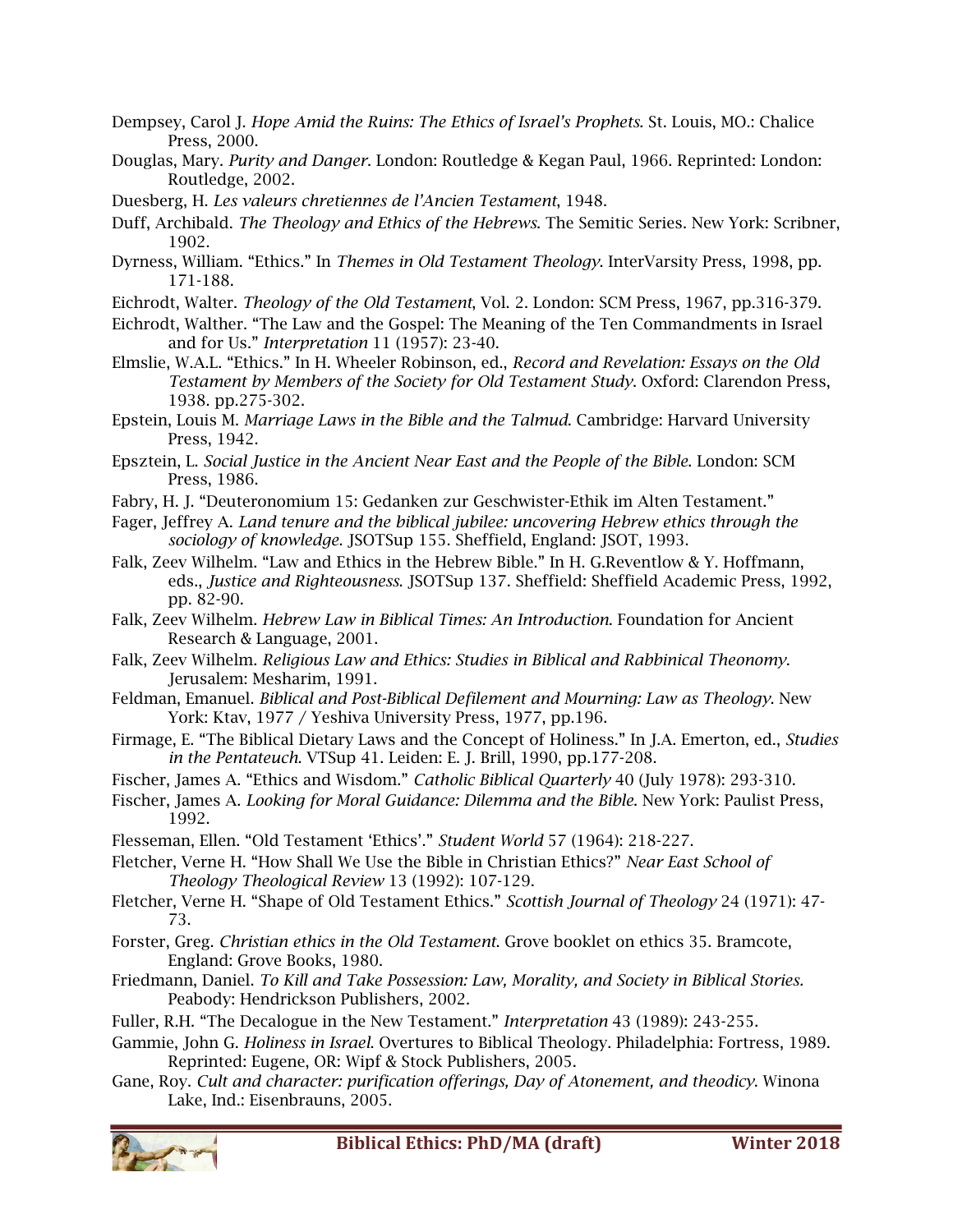- Dempsey, Carol J. *Hope Amid the Ruins: The Ethics of Israel's Prophets*. St. Louis, MO.: Chalice Press, 2000.
- Douglas, Mary. *Purity and Danger*. London: Routledge & Kegan Paul, 1966. Reprinted: London: Routledge, 2002.
- Duesberg, H. *Les valeurs chretiennes de l'Ancien Testament*, 1948.
- Duff, Archibald. *The Theology and Ethics of the Hebrews*. The Semitic Series. New York: Scribner, 1902.
- Dyrness, William. "Ethics." In *Themes in Old Testament Theology*. InterVarsity Press, 1998, pp. 171-188.
- Eichrodt, Walter. *Theology of the Old Testament*, Vol. 2. London: SCM Press, 1967, pp.316-379.
- Eichrodt, Walther. "The Law and the Gospel: The Meaning of the Ten Commandments in Israel and for Us." *Interpretation* 11 (1957): 23-40.
- Elmslie, W.A.L. "Ethics." In H. Wheeler Robinson, ed., *Record and Revelation: Essays on the Old Testament by Members of the Society for Old Testament Study*. Oxford: Clarendon Press, 1938. pp.275-302.
- Epstein, Louis M. *Marriage Laws in the Bible and the Talmud*. Cambridge: Harvard University Press, 1942.
- Epsztein, L. *Social Justice in the Ancient Near East and the People of the Bible*. London: SCM Press, 1986.
- Fabry, H. J. "Deuteronomium 15: Gedanken zur Geschwister-Ethik im Alten Testament."
- Fager, Jeffrey A. *Land tenure and the biblical jubilee: uncovering Hebrew ethics through the sociology of knowledge*. JSOTSup 155. Sheffield, England: JSOT, 1993.
- Falk, Zeev Wilhelm. "Law and Ethics in the Hebrew Bible." In H. G.Reventlow & Y. Hoffmann, eds., *Justice and Righteousness*. JSOTSup 137. Sheffield: Sheffield Academic Press, 1992, pp. 82-90.
- Falk, Zeev Wilhelm. *Hebrew Law in Biblical Times: An Introduction*. Foundation for Ancient Research & Language, 2001.
- Falk, Zeev Wilhelm. *Religious Law and Ethics: Studies in Biblical and Rabbinical Theonomy*. Jerusalem: Mesharim, 1991.
- Feldman, Emanuel. *Biblical and Post-Biblical Defilement and Mourning: Law as Theology*. New York: Ktav, 1977 / Yeshiva University Press, 1977, pp.196.
- Firmage, E. "The Biblical Dietary Laws and the Concept of Holiness." In J.A. Emerton, ed., *Studies in the Pentateuch*. VTSup 41. Leiden: E. J. Brill, 1990, pp.177-208.
- Fischer, James A. "Ethics and Wisdom." *Catholic Biblical Quarterly* 40 (July 1978): 293-310.
- Fischer, James A. *Looking for Moral Guidance: Dilemma and the Bible*. New York: Paulist Press, 1992.
- Flesseman, Ellen. "Old Testament 'Ethics'." *Student World* 57 (1964): 218-227.
- Fletcher, Verne H. "How Shall We Use the Bible in Christian Ethics?" *Near East School of Theology Theological Review* 13 (1992): 107-129.
- Fletcher, Verne H. "Shape of Old Testament Ethics." *Scottish Journal of Theology* 24 (1971): 47- 73.
- Forster, Greg. *Christian ethics in the Old Testament*. Grove booklet on ethics 35. Bramcote, England: Grove Books, 1980.
- Friedmann, Daniel. *To Kill and Take Possession: Law, Morality, and Society in Biblical Stories.*  Peabody: Hendrickson Publishers, 2002.
- Fuller, R.H. "The Decalogue in the New Testament." *Interpretation* 43 (1989): 243-255.
- Gammie, John G. *Holiness in Israel*. Overtures to Biblical Theology. Philadelphia: Fortress, 1989. Reprinted: Eugene, OR: Wipf & Stock Publishers, 2005.
- Gane, Roy. *Cult and character: purification offerings, Day of Atonement, and theodicy*. Winona Lake, Ind.: Eisenbrauns, 2005.

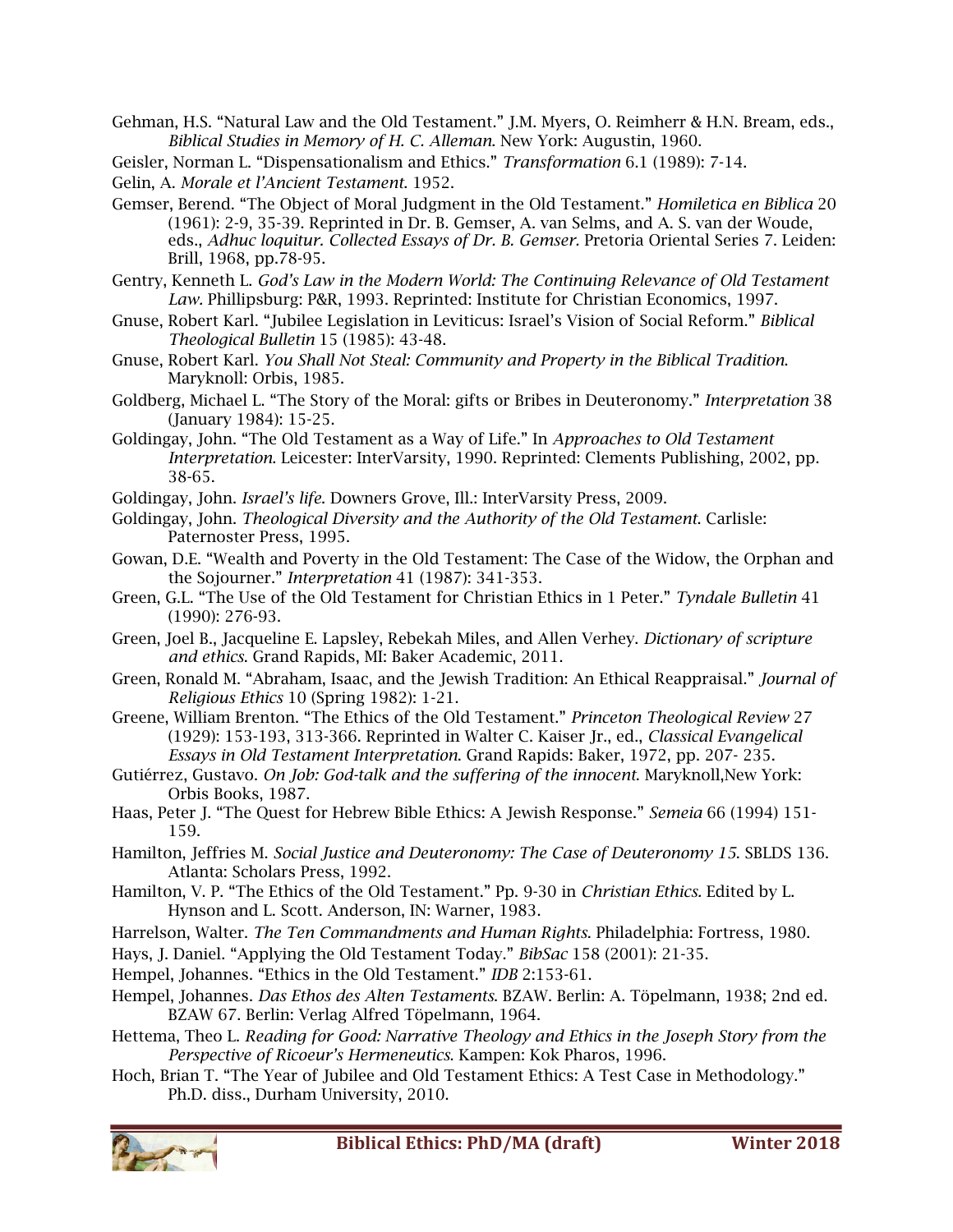Gehman, H.S. "Natural Law and the Old Testament." J.M. Myers, O. Reimherr & H.N. Bream, eds., *Biblical Studies in Memory of H. C. Alleman*. New York: Augustin, 1960.

Geisler, Norman L. "Dispensationalism and Ethics." *Transformation* 6.1 (1989): 7-14.

- Gelin, A. *Morale et l'Ancient Testament*. 1952.
- Gemser, Berend. "The Object of Moral Judgment in the Old Testament." *Homiletica en Biblica* 20 (1961): 2-9, 35-39. Reprinted in Dr. B. Gemser, A. van Selms, and A. S. van der Woude, eds., *Adhuc loquitur. Collected Essays of Dr. B. Gemser.* Pretoria Oriental Series 7. Leiden: Brill, 1968, pp.78-95.
- Gentry, Kenneth L. *God's Law in the Modern World: The Continuing Relevance of Old Testament Law.* Phillipsburg: P&R, 1993. Reprinted: Institute for Christian Economics, 1997.
- Gnuse, Robert Karl. "Jubilee Legislation in Leviticus: Israel's Vision of Social Reform." *Biblical Theological Bulletin* 15 (1985): 43-48.
- Gnuse, Robert Karl. *You Shall Not Steal: Community and Property in the Biblical Tradition*. Maryknoll: Orbis, 1985.
- Goldberg, Michael L. "The Story of the Moral: gifts or Bribes in Deuteronomy." *Interpretation* 38 (January 1984): 15-25.
- Goldingay, John. "The Old Testament as a Way of Life." In *Approaches to Old Testament Interpretation*. Leicester: InterVarsity, 1990. Reprinted: Clements Publishing, 2002, pp. 38-65.
- Goldingay, John. *Israel's life*. Downers Grove, Ill.: InterVarsity Press, 2009.
- Goldingay, John. *Theological Diversity and the Authority of the Old Testament*. Carlisle: Paternoster Press, 1995.
- Gowan, D.E. "Wealth and Poverty in the Old Testament: The Case of the Widow, the Orphan and the Sojourner." *Interpretation* 41 (1987): 341-353.
- Green, G.L. "The Use of the Old Testament for Christian Ethics in 1 Peter." *Tyndale Bulletin* 41 (1990): 276-93.
- Green, Joel B., Jacqueline E. Lapsley, Rebekah Miles, and Allen Verhey. *Dictionary of scripture and ethics*. Grand Rapids, MI: Baker Academic, 2011.
- Green, Ronald M. "Abraham, Isaac, and the Jewish Tradition: An Ethical Reappraisal." *Journal of Religious Ethics* 10 (Spring 1982): 1-21.
- Greene, William Brenton. "The Ethics of the Old Testament." *Princeton Theological Review* 27 (1929): 153-193, 313-366. Reprinted in Walter C. Kaiser Jr., ed., *Classical Evangelical Essays in Old Testament Interpretation*. Grand Rapids: Baker, 1972, pp. 207- 235.
- Gutiérrez, Gustavo. *On Job: God-talk and the suffering of the innocent*. Maryknoll,New York: Orbis Books, 1987.
- Haas, Peter J. "The Quest for Hebrew Bible Ethics: A Jewish Response." *Semeia* 66 (1994) 151- 159.
- Hamilton, Jeffries M. *Social Justice and Deuteronomy: The Case of Deuteronomy 15*. SBLDS 136. Atlanta: Scholars Press, 1992.
- Hamilton, V. P. "The Ethics of the Old Testament." Pp. 9-30 in *Christian Ethics.* Edited by L. Hynson and L. Scott. Anderson, IN: Warner, 1983.
- Harrelson, Walter. *The Ten Commandments and Human Rights*. Philadelphia: Fortress, 1980.
- Hays, J. Daniel. "Applying the Old Testament Today." *BibSac* 158 (2001): 21-35.
- Hempel, Johannes. "Ethics in the Old Testament." *IDB* 2:153-61.
- Hempel, Johannes. *Das Ethos des Alten Testaments*. BZAW. Berlin: A. Töpelmann, 1938; 2nd ed. BZAW 67. Berlin: Verlag Alfred Töpelmann, 1964.
- Hettema, Theo L. *Reading for Good: Narrative Theology and Ethics in the Joseph Story from the Perspective of Ricoeur's Hermeneutics*. Kampen: Kok Pharos, 1996.
- Hoch, Brian T. "The Year of Jubilee and Old Testament Ethics: A Test Case in Methodology." Ph.D. diss., Durham University, 2010.

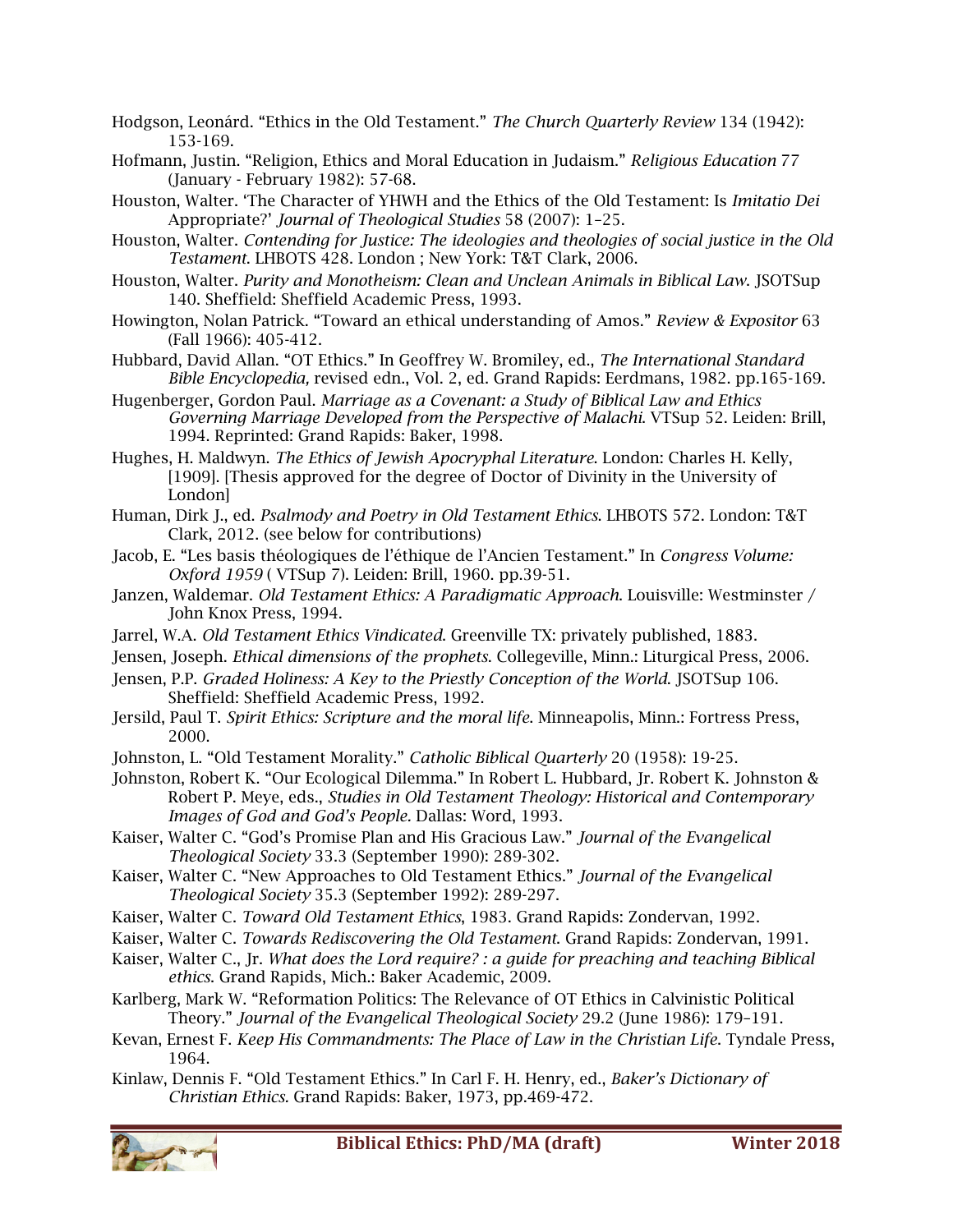- Hodgson, Leonárd. "Ethics in the Old Testament." *The Church Quarterly Review* 134 (1942): 153-169.
- Hofmann, Justin. "Religion, Ethics and Moral Education in Judaism." *Religious Education* 77 (January - February 1982): 57-68.
- Houston, Walter. 'The Character of YHWH and the Ethics of the Old Testament: Is *Imitatio Dei*  Appropriate?' *Journal of Theological Studies* 58 (2007): 1–25.
- Houston, Walter. *Contending for Justice: The ideologies and theologies of social justice in the Old Testament*. LHBOTS 428. London ; New York: T&T Clark, 2006.
- Houston, Walter. *Purity and Monotheism: Clean and Unclean Animals in Biblical Law*. JSOTSup 140. Sheffield: Sheffield Academic Press, 1993.
- Howington, Nolan Patrick. "Toward an ethical understanding of Amos." *Review & Expositor* 63 (Fall 1966): 405-412.
- Hubbard, David Allan. "OT Ethics." In Geoffrey W. Bromiley, ed., *The International Standard Bible Encyclopedia,* revised edn., Vol. 2, ed. Grand Rapids: Eerdmans, 1982. pp.165-169.
- Hugenberger, Gordon Paul. *Marriage as a Covenant: a Study of Biblical Law and Ethics Governing Marriage Developed from the Perspective of Malachi*. VTSup 52. Leiden: Brill, 1994. Reprinted: Grand Rapids: Baker, 1998.
- Hughes, H. Maldwyn. *The Ethics of Jewish Apocryphal Literature*. London: Charles H. Kelly, [1909]. [Thesis approved for the degree of Doctor of Divinity in the University of London]
- Human, Dirk J., ed. *Psalmody and Poetry in Old Testament Ethics*. LHBOTS 572. London: T&T Clark, 2012. (see below for contributions)
- Jacob, E. "Les basis théologiques de l'éthique de l'Ancien Testament." In *Congress Volume: Oxford 1959* ( VTSup 7). Leiden: Brill, 1960. pp.39-51.
- Janzen, Waldemar. *Old Testament Ethics: A Paradigmatic Approach*. Louisville: Westminster / John Knox Press, 1994.
- Jarrel, W.A. *Old Testament Ethics Vindicated*. Greenville TX: privately published, 1883.
- Jensen, Joseph. *Ethical dimensions of the prophets*. Collegeville, Minn.: Liturgical Press, 2006.
- Jensen, P.P. *Graded Holiness: A Key to the Priestly Conception of the World*. JSOTSup 106. Sheffield: Sheffield Academic Press, 1992.
- Jersild, Paul T. *Spirit Ethics: Scripture and the moral life*. Minneapolis, Minn.: Fortress Press, 2000.
- Johnston, L. "Old Testament Morality." *Catholic Biblical Quarterly* 20 (1958): 19-25.
- Johnston, Robert K. "Our Ecological Dilemma." In Robert L. Hubbard, Jr. Robert K. Johnston & Robert P. Meye, eds., *Studies in Old Testament Theology: Historical and Contemporary Images of God and God's People.* Dallas: Word, 1993.
- Kaiser, Walter C. "God's Promise Plan and His Gracious Law." *Journal of the Evangelical Theological Society* 33.3 (September 1990): 289-302.
- Kaiser, Walter C. "New Approaches to Old Testament Ethics." *Journal of the Evangelical Theological Society* 35.3 (September 1992): 289-297.
- Kaiser, Walter C. *Toward Old Testament Ethics*, 1983. Grand Rapids: Zondervan, 1992.
- Kaiser, Walter C. *Towards Rediscovering the Old Testament*. Grand Rapids: Zondervan, 1991.
- Kaiser, Walter C., Jr. *What does the Lord require? : a guide for preaching and teaching Biblical ethics*. Grand Rapids, Mich.: Baker Academic, 2009.
- Karlberg, Mark W. "Reformation Politics: The Relevance of OT Ethics in Calvinistic Political Theory." *Journal of the Evangelical Theological Society* 29.2 (June 1986): 179–191.
- Kevan, Ernest F. *Keep His Commandments: The Place of Law in the Christian Life*. Tyndale Press, 1964.
- Kinlaw, Dennis F. "Old Testament Ethics." In Carl F. H. Henry, ed., *Baker's Dictionary of Christian Ethics.* Grand Rapids: Baker, 1973, pp.469-472.

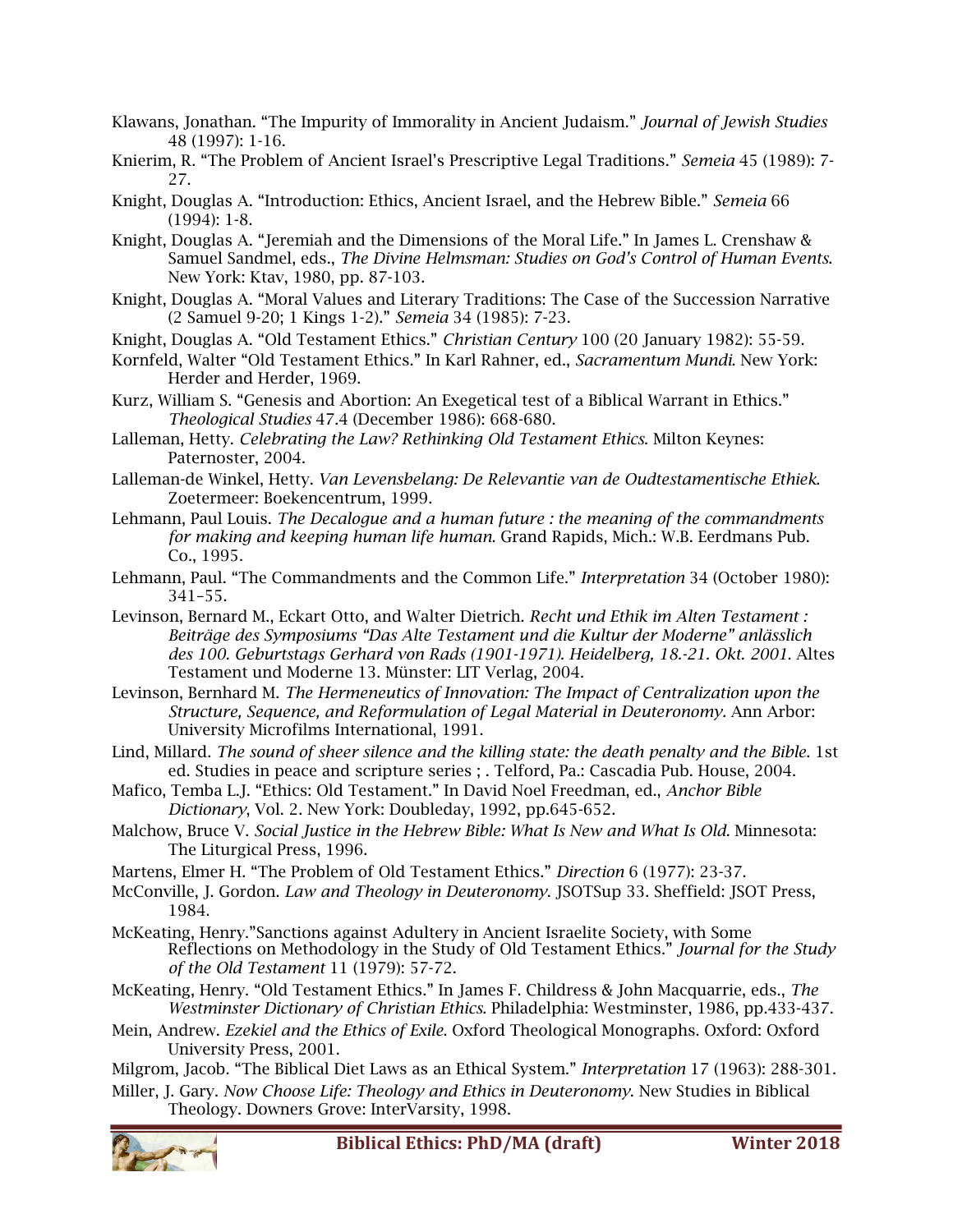- Klawans, Jonathan. "The Impurity of Immorality in Ancient Judaism." *Journal of Jewish Studies* 48 (1997): 1-16.
- Knierim, R. "The Problem of Ancient Israel's Prescriptive Legal Traditions." *Semeia* 45 (1989): 7- 27.
- Knight, Douglas A. "Introduction: Ethics, Ancient Israel, and the Hebrew Bible." *Semeia* 66 (1994): 1-8.
- Knight, Douglas A. "Jeremiah and the Dimensions of the Moral Life." In James L. Crenshaw & Samuel Sandmel, eds., *The Divine Helmsman: Studies on God's Control of Human Events*. New York: Ktav, 1980, pp. 87-103.
- Knight, Douglas A. "Moral Values and Literary Traditions: The Case of the Succession Narrative (2 Samuel 9-20; 1 Kings 1-2)." *Semeia* 34 (1985): 7-23.
- Knight, Douglas A. "Old Testament Ethics." *Christian Century* 100 (20 January 1982): 55-59.
- Kornfeld, Walter "Old Testament Ethics." In Karl Rahner, ed., *Sacramentum Mundi*. New York: Herder and Herder, 1969.
- Kurz, William S. "Genesis and Abortion: An Exegetical test of a Biblical Warrant in Ethics." *Theological Studies* 47.4 (December 1986): 668-680.
- Lalleman, Hetty. *Celebrating the Law? Rethinking Old Testament Ethics*. Milton Keynes: Paternoster, 2004.
- Lalleman-de Winkel, Hetty. *Van Levensbelang: De Relevantie van de Oudtestamentische Ethiek*. Zoetermeer: Boekencentrum, 1999.
- Lehmann, Paul Louis. *The Decalogue and a human future : the meaning of the commandments for making and keeping human life human*. Grand Rapids, Mich.: W.B. Eerdmans Pub. Co., 1995.
- Lehmann, Paul. "The Commandments and the Common Life." *Interpretation* 34 (October 1980): 341–55.
- Levinson, Bernard M., Eckart Otto, and Walter Dietrich. *Recht und Ethik im Alten Testament : Beiträge des Symposiums "Das Alte Testament und die Kultur der Moderne" anlässlich des 100. Geburtstags Gerhard von Rads (1901-1971). Heidelberg, 18.-21. Okt. 2001*. Altes Testament und Moderne 13. Münster: LIT Verlag, 2004.
- Levinson, Bernhard M. *The Hermeneutics of Innovation: The Impact of Centralization upon the Structure, Sequence, and Reformulation of Legal Material in Deuteronomy.* Ann Arbor: University Microfilms International, 1991.
- Lind, Millard. *The sound of sheer silence and the killing state: the death penalty and the Bible*. 1st ed. Studies in peace and scripture series ; . Telford, Pa.: Cascadia Pub. House, 2004.
- Mafico, Temba L.J. "Ethics: Old Testament." In David Noel Freedman, ed., *Anchor Bible Dictionary*, Vol. 2. New York: Doubleday, 1992, pp.645-652.
- Malchow, Bruce V. *Social Justice in the Hebrew Bible: What Is New and What Is Old.* Minnesota: The Liturgical Press, 1996.
- Martens, Elmer H. "The Problem of Old Testament Ethics." *Direction* 6 (1977): 23-37.
- McConville, J. Gordon. *Law and Theology in Deuteronomy*. JSOTSup 33. Sheffield: JSOT Press, 1984.
- McKeating, Henry."Sanctions against Adultery in Ancient Israelite Society, with Some Reflections on Methodology in the Study of Old Testament Ethics." *Journal for the Study of the Old Testament* 11 (1979): 57-72.
- McKeating, Henry. "Old Testament Ethics." In James F. Childress & John Macquarrie, eds., *The Westminster Dictionary of Christian Ethics*. Philadelphia: Westminster, 1986, pp.433-437.
- Mein, Andrew. *Ezekiel and the Ethics of Exile*. Oxford Theological Monographs. Oxford: Oxford University Press, 2001.

Milgrom, Jacob. "The Biblical Diet Laws as an Ethical System." *Interpretation* 17 (1963): 288-301.

Miller, J. Gary. *Now Choose Life: Theology and Ethics in Deuteronomy*. New Studies in Biblical Theology. Downers Grove: InterVarsity, 1998.

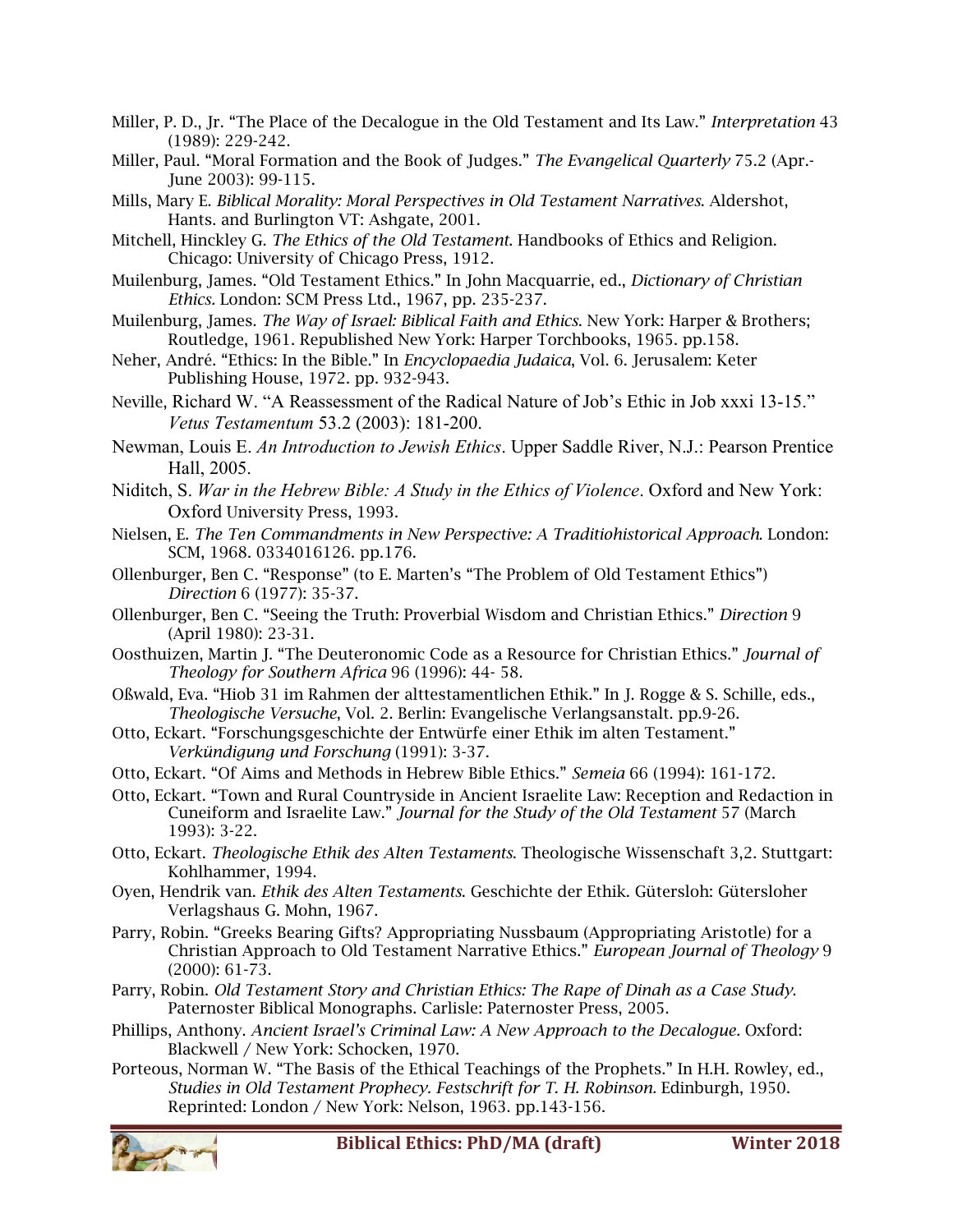- Miller, P. D., Jr. "The Place of the Decalogue in the Old Testament and Its Law." *Interpretation* 43 (1989): 229-242.
- Miller, Paul. "Moral Formation and the Book of Judges." *The Evangelical Quarterly* 75.2 (Apr.- June 2003): 99-115.
- Mills, Mary E. *Biblical Morality: Moral Perspectives in Old Testament Narratives*. Aldershot, Hants. and Burlington VT: Ashgate, 2001.
- Mitchell, Hinckley G. *The Ethics of the Old Testament*. Handbooks of Ethics and Religion. Chicago: University of Chicago Press, 1912.
- Muilenburg, James. "Old Testament Ethics." In John Macquarrie, ed., *Dictionary of Christian Ethics.* London: SCM Press Ltd., 1967, pp. 235-237.
- Muilenburg, James. *The Way of Israel: Biblical Faith and Ethics*. New York: Harper & Brothers; Routledge, 1961. Republished New York: Harper Torchbooks, 1965. pp.158.
- Neher, André. "Ethics: In the Bible." In *Encyclopaedia Judaica*, Vol. 6. Jerusalem: Keter Publishing House, 1972. pp. 932-943.
- Neville, Richard W. "A Reassessment of the Radical Nature of Job's Ethic in Job xxxi 13-15." *Vetus Testamentum* 53.2 (2003): 181-200.

Newman, Louis E. *An Introduction to Jewish Ethics*. Upper Saddle River, N.J.: Pearson Prentice Hall, 2005.

- Niditch, S. *War in the Hebrew Bible: A Study in the Ethics of Violence*. Oxford and New York: Oxford University Press, 1993.
- Nielsen, E. *The Ten Commandments in New Perspective: A Traditiohistorical Approach*. London: SCM, 1968. 0334016126. pp.176.
- Ollenburger, Ben C. "Response" (to E. Marten's "The Problem of Old Testament Ethics") *Direction* 6 (1977): 35-37.
- Ollenburger, Ben C. "Seeing the Truth: Proverbial Wisdom and Christian Ethics." *Direction* 9 (April 1980): 23-31.
- Oosthuizen, Martin J. "The Deuteronomic Code as a Resource for Christian Ethics." *Journal of Theology for Southern Africa* 96 (1996): 44- 58.
- Oßwald, Eva. "Hiob 31 im Rahmen der alttestamentlichen Ethik." In J. Rogge & S. Schille, eds., *Theologische Versuche*, Vol. 2. Berlin: Evangelische Verlangsanstalt. pp.9-26.
- Otto, Eckart. "Forschungsgeschichte der Entwürfe einer Ethik im alten Testament." *Verkündigung und Forschung* (1991): 3-37.
- Otto, Eckart. "Of Aims and Methods in Hebrew Bible Ethics." *Semeia* 66 (1994): 161-172.
- Otto, Eckart. "Town and Rural Countryside in Ancient Israelite Law: Reception and Redaction in Cuneiform and Israelite Law." *Journal for the Study of the Old Testament* 57 (March 1993): 3-22.
- Otto, Eckart. *Theologische Ethik des Alten Testaments*. Theologische Wissenschaft 3,2. Stuttgart: Kohlhammer, 1994.
- Oyen, Hendrik van. *Ethik des Alten Testaments*. Geschichte der Ethik. Gütersloh: Gütersloher Verlagshaus G. Mohn, 1967.
- Parry, Robin. "Greeks Bearing Gifts? Appropriating Nussbaum (Appropriating Aristotle) for a Christian Approach to Old Testament Narrative Ethics." *European Journal of Theology* 9 (2000): 61-73.
- Parry, Robin. *Old Testament Story and Christian Ethics: The Rape of Dinah as a Case Study*. Paternoster Biblical Monographs. Carlisle: Paternoster Press, 2005.
- Phillips, Anthony. *Ancient Israel's Criminal Law: A New Approach to the Decalogue.* Oxford: Blackwell / New York: Schocken, 1970.
- Porteous, Norman W. "The Basis of the Ethical Teachings of the Prophets." In H.H. Rowley, ed., *Studies in Old Testament Prophecy. Festschrift for T. H. Robinson.* Edinburgh, 1950. Reprinted: London / New York: Nelson, 1963. pp.143-156.

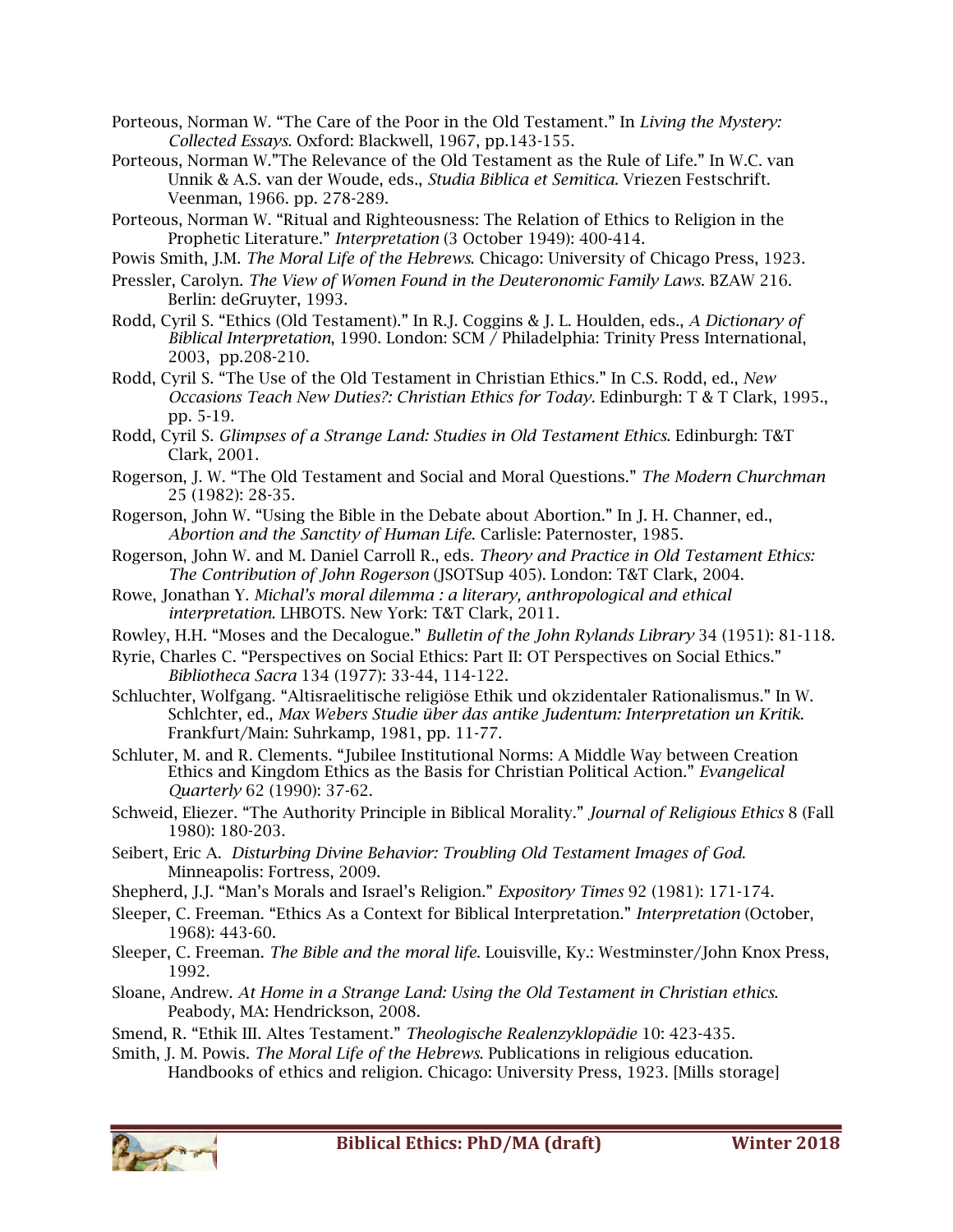Porteous, Norman W. "The Care of the Poor in the Old Testament." In *Living the Mystery: Collected Essays.* Oxford: Blackwell, 1967, pp.143-155.

- Porteous, Norman W."The Relevance of the Old Testament as the Rule of Life." In W.C. van Unnik & A.S. van der Woude, eds., *Studia Biblica et Semitica.* Vriezen Festschrift. Veenman, 1966. pp. 278-289.
- Porteous, Norman W. "Ritual and Righteousness: The Relation of Ethics to Religion in the Prophetic Literature." *Interpretation* (3 October 1949): 400-414.
- Powis Smith, J.M. *The Moral Life of the Hebrews*. Chicago: University of Chicago Press, 1923.
- Pressler, Carolyn. *The View of Women Found in the Deuteronomic Family Laws*. BZAW 216. Berlin: deGruyter, 1993.
- Rodd, Cyril S. "Ethics (Old Testament)." In R.J. Coggins & J. L. Houlden, eds., *A Dictionary of Biblical Interpretation*, 1990. London: SCM / Philadelphia: Trinity Press International, 2003, pp.208-210.
- Rodd, Cyril S. "The Use of the Old Testament in Christian Ethics." In C.S. Rodd, ed., *New Occasions Teach New Duties?: Christian Ethics for Today.* Edinburgh: T & T Clark, 1995., pp. 5-19.
- Rodd, Cyril S. *Glimpses of a Strange Land: Studies in Old Testament Ethics*. Edinburgh: T&T Clark, 2001.
- Rogerson, J. W. "The Old Testament and Social and Moral Questions." *The Modern Churchman*  25 (1982): 28-35.
- Rogerson, John W. "Using the Bible in the Debate about Abortion." In J. H. Channer, ed., *Abortion and the Sanctity of Human Life*. Carlisle: Paternoster, 1985.
- Rogerson, John W. and M. Daniel Carroll R., eds. *Theory and Practice in Old Testament Ethics: The Contribution of John Rogerson* (JSOTSup 405). London: T&T Clark, 2004.
- Rowe, Jonathan Y. *Michal's moral dilemma : a literary, anthropological and ethical interpretation*. LHBOTS. New York: T&T Clark, 2011.
- Rowley, H.H. "Moses and the Decalogue." *Bulletin of the John Rylands Library* 34 (1951): 81-118.
- Ryrie, Charles C. "Perspectives on Social Ethics: Part II: OT Perspectives on Social Ethics." *Bibliotheca Sacra* 134 (1977): 33-44, 114-122.
- Schluchter, Wolfgang. "Altisraelitische religiöse Ethik und okzidentaler Rationalismus." In W. Schlchter, ed., *Max Webers Studie über das antike Judentum: Interpretation un Kritik*. Frankfurt/Main: Suhrkamp, 1981, pp. 11-77.
- Schluter, M. and R. Clements. "Jubilee Institutional Norms: A Middle Way between Creation Ethics and Kingdom Ethics as the Basis for Christian Political Action." *Evangelical Quarterly* 62 (1990): 37-62.
- Schweid, Eliezer. "The Authority Principle in Biblical Morality." *Journal of Religious Ethics* 8 (Fall 1980): 180-203.
- Seibert, Eric A. *Disturbing Divine Behavior: Troubling Old Testament Images of God*. Minneapolis: Fortress, 2009.
- Shepherd, J.J. "Man's Morals and Israel's Religion." *Expository Times* 92 (1981): 171-174.
- Sleeper, C. Freeman. "Ethics As a Context for Biblical Interpretation." *Interpretation* (October, 1968): 443-60.
- Sleeper, C. Freeman. *The Bible and the moral life*. Louisville, Ky.: Westminster/John Knox Press, 1992.
- Sloane, Andrew. *At Home in a Strange Land: Using the Old Testament in Christian ethics*. Peabody, MA: Hendrickson, 2008.
- Smend, R. "Ethik III. Altes Testament." *Theologische Realenzyklopädie* 10: 423-435.
- Smith, J. M. Powis. *The Moral Life of the Hebrews*. Publications in religious education.
	- Handbooks of ethics and religion. Chicago: University Press, 1923. [Mills storage]

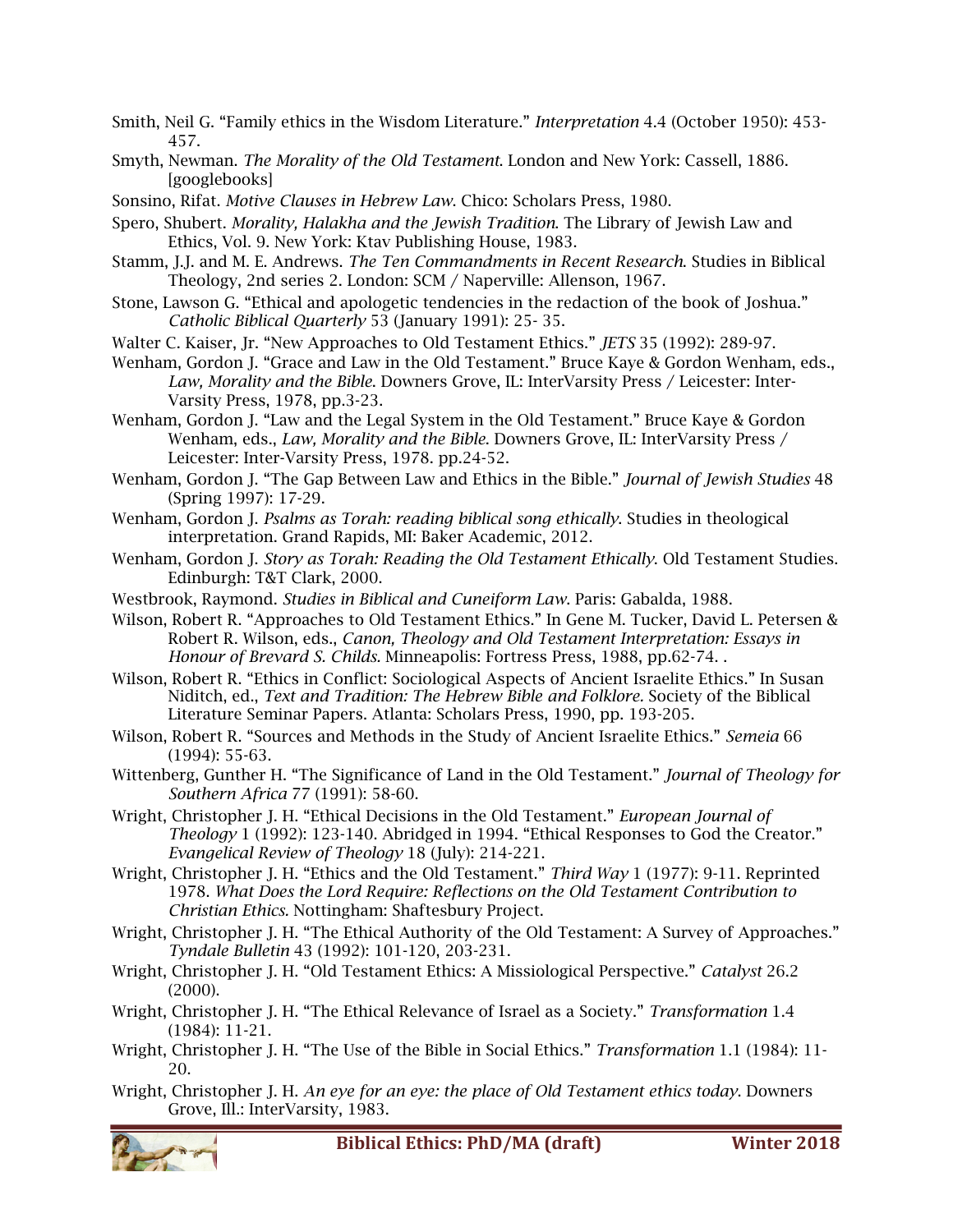- Smith, Neil G. "Family ethics in the Wisdom Literature." *Interpretation* 4.4 (October 1950): 453- 457.
- Smyth, Newman. *The Morality of the Old Testament*. London and New York: Cassell, 1886. [googlebooks]
- Sonsino, Rifat. *Motive Clauses in Hebrew Law*. Chico: Scholars Press, 1980.
- Spero, Shubert. *Morality, Halakha and the Jewish Tradition*. The Library of Jewish Law and Ethics, Vol. 9. New York: Ktav Publishing House, 1983.
- Stamm, J.J. and M. E. Andrews. *The Ten Commandments in Recent Research*. Studies in Biblical Theology, 2nd series 2. London: SCM / Naperville: Allenson, 1967.
- Stone, Lawson G. "Ethical and apologetic tendencies in the redaction of the book of Joshua." *Catholic Biblical Quarterly* 53 (January 1991): 25- 35.
- Walter C. Kaiser, Jr. "New Approaches to Old Testament Ethics." *JETS* 35 (1992): 289-97.
- Wenham, Gordon J. "Grace and Law in the Old Testament." Bruce Kaye & Gordon Wenham, eds., *Law, Morality and the Bible*. Downers Grove, IL: InterVarsity Press / Leicester: Inter-Varsity Press, 1978, pp.3-23.
- Wenham, Gordon J. "Law and the Legal System in the Old Testament." Bruce Kaye & Gordon Wenham, eds., *Law, Morality and the Bible*. Downers Grove, IL: InterVarsity Press / Leicester: Inter-Varsity Press, 1978. pp.24-52.
- Wenham, Gordon J. "The Gap Between Law and Ethics in the Bible." *Journal of Jewish Studies* 48 (Spring 1997): 17-29.
- Wenham, Gordon J. *Psalms as Torah: reading biblical song ethically*. Studies in theological interpretation. Grand Rapids, MI: Baker Academic, 2012.
- Wenham, Gordon J. *Story as Torah: Reading the Old Testament Ethically*. Old Testament Studies. Edinburgh: T&T Clark, 2000.
- Westbrook, Raymond. *Studies in Biblical and Cuneiform Law*. Paris: Gabalda, 1988.
- Wilson, Robert R. "Approaches to Old Testament Ethics." In Gene M. Tucker, David L. Petersen & Robert R. Wilson, eds., *Canon, Theology and Old Testament Interpretation: Essays in Honour of Brevard S. Childs.* Minneapolis: Fortress Press, 1988, pp.62-74. .
- Wilson, Robert R. "Ethics in Conflict: Sociological Aspects of Ancient Israelite Ethics." In Susan Niditch, ed., *Text and Tradition: The Hebrew Bible and Folklore.* Society of the Biblical Literature Seminar Papers. Atlanta: Scholars Press, 1990, pp. 193-205.
- Wilson, Robert R. "Sources and Methods in the Study of Ancient Israelite Ethics." *Semeia* 66 (1994): 55-63.
- Wittenberg, Gunther H. "The Significance of Land in the Old Testament." *Journal of Theology for Southern Africa* 77 (1991): 58-60.
- Wright, Christopher J. H. "Ethical Decisions in the Old Testament." *European Journal of Theology* 1 (1992): 123-140. Abridged in 1994. "Ethical Responses to God the Creator." *Evangelical Review of Theology* 18 (July): 214-221.
- Wright, Christopher J. H. "Ethics and the Old Testament." *Third Way* 1 (1977): 9-11. Reprinted 1978. *What Does the Lord Require: Reflections on the Old Testament Contribution to Christian Ethics.* Nottingham: Shaftesbury Project.
- Wright, Christopher J. H. "The Ethical Authority of the Old Testament: A Survey of Approaches." *Tyndale Bulletin* 43 (1992): 101-120, 203-231.
- Wright, Christopher J. H. "Old Testament Ethics: A Missiological Perspective." *Catalyst* 26.2 (2000).
- Wright, Christopher J. H. "The Ethical Relevance of Israel as a Society." *Transformation* 1.4 (1984): 11-21.
- Wright, Christopher J. H. "The Use of the Bible in Social Ethics." *Transformation* 1.1 (1984): 11- 20.
- Wright, Christopher J. H. *An eye for an eye: the place of Old Testament ethics today*. Downers Grove, Ill.: InterVarsity, 1983.

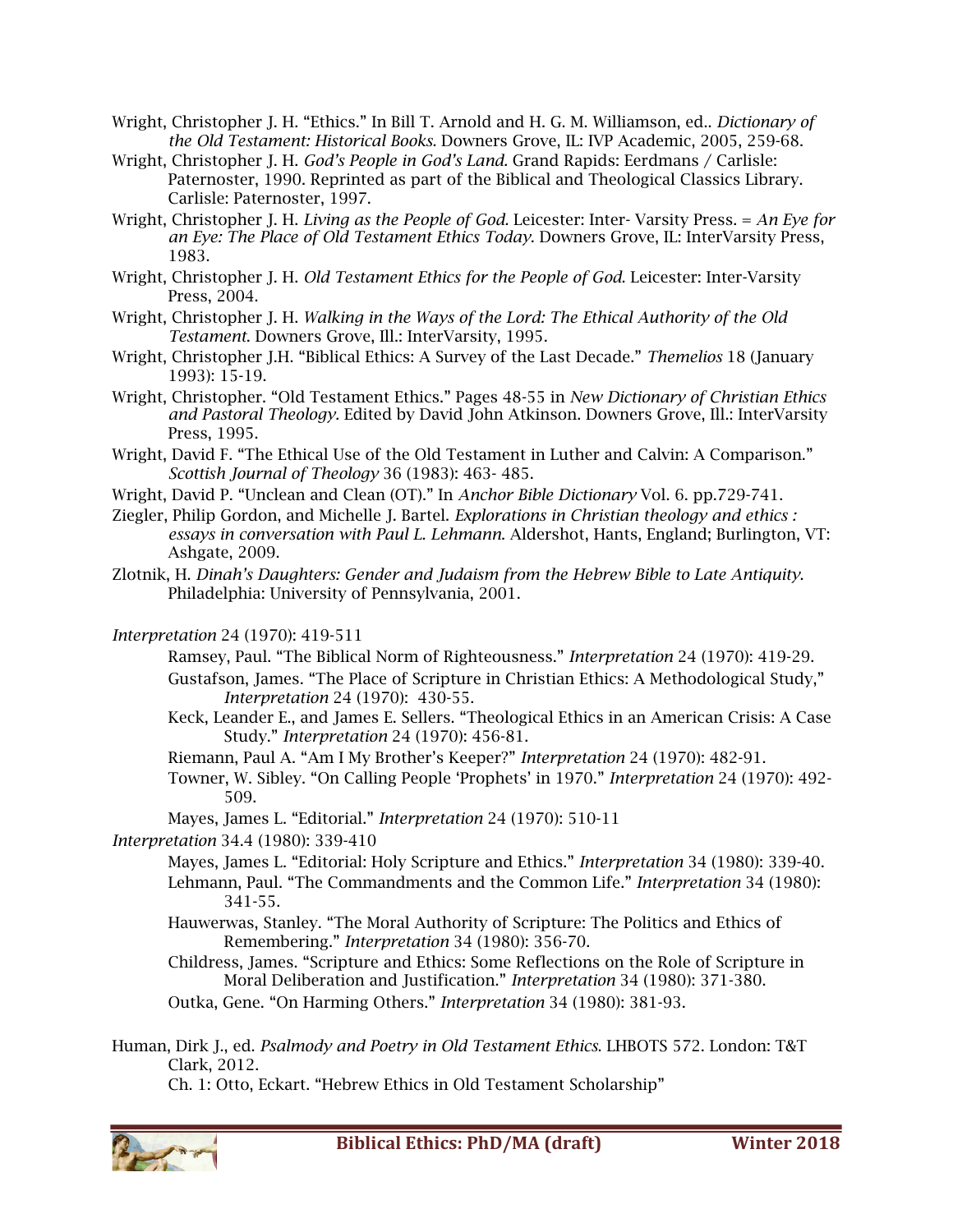- Wright, Christopher J. H. "Ethics." In Bill T. Arnold and H. G. M. Williamson, ed.. *Dictionary of the Old Testament: Historical Books.* Downers Grove, IL: IVP Academic, 2005, 259-68.
- Wright, Christopher J. H. *God's People in God's Land.* Grand Rapids: Eerdmans / Carlisle: Paternoster, 1990. Reprinted as part of the Biblical and Theological Classics Library. Carlisle: Paternoster, 1997.
- Wright, Christopher J. H. *Living as the People of God.* Leicester: Inter- Varsity Press. = *An Eye for an Eye: The Place of Old Testament Ethics Today*. Downers Grove, IL: InterVarsity Press, 1983.
- Wright, Christopher J. H. *Old Testament Ethics for the People of God*. Leicester: Inter-Varsity Press, 2004.
- Wright, Christopher J. H. *Walking in the Ways of the Lord: The Ethical Authority of the Old Testament*. Downers Grove, Ill.: InterVarsity, 1995.
- Wright, Christopher J.H. "Biblical Ethics: A Survey of the Last Decade." *Themelios* 18 (January 1993): 15-19.
- Wright, Christopher. "Old Testament Ethics." Pages 48-55 in *New Dictionary of Christian Ethics and Pastoral Theology.* Edited by David John Atkinson. Downers Grove, Ill.: InterVarsity Press, 1995.
- Wright, David F. "The Ethical Use of the Old Testament in Luther and Calvin: A Comparison." *Scottish Journal of Theology* 36 (1983): 463- 485.
- Wright, David P. "Unclean and Clean (OT)." In *Anchor Bible Dictionary* Vol. 6. pp.729-741.
- Ziegler, Philip Gordon, and Michelle J. Bartel. *Explorations in Christian theology and ethics : essays in conversation with Paul L. Lehmann*. Aldershot, Hants, England; Burlington, VT: Ashgate, 2009.
- Zlotnik, H. *Dinah's Daughters: Gender and Judaism from the Hebrew Bible to Late Antiquity*. Philadelphia: University of Pennsylvania, 2001.

### *Interpretation* 24 (1970): 419-511

- Ramsey, Paul. "The Biblical Norm of Righteousness." *Interpretation* 24 (1970): 419-29.
- Gustafson, James. "The Place of Scripture in Christian Ethics: A Methodological Study," *Interpretation* 24 (1970): 430-55.
- Keck, Leander E., and James E. Sellers. "Theological Ethics in an American Crisis: A Case Study." *Interpretation* 24 (1970): 456-81.
- Riemann, Paul A. "Am I My Brother's Keeper?" *Interpretation* 24 (1970): 482-91.
- Towner, W. Sibley. "On Calling People 'Prophets' in 1970." *Interpretation* 24 (1970): 492- 509.
- Mayes, James L. "Editorial." *Interpretation* 24 (1970): 510-11

### *Interpretation* 34.4 (1980): 339-410

- Mayes, James L. "Editorial: Holy Scripture and Ethics." *Interpretation* 34 (1980): 339-40. Lehmann, Paul. "The Commandments and the Common Life." *Interpretation* 34 (1980): 341-55.
- Hauwerwas, Stanley. "The Moral Authority of Scripture: The Politics and Ethics of Remembering." *Interpretation* 34 (1980): 356-70.
- Childress, James. "Scripture and Ethics: Some Reflections on the Role of Scripture in Moral Deliberation and Justification." *Interpretation* 34 (1980): 371-380.

Outka, Gene. "On Harming Others." *Interpretation* 34 (1980): 381-93.

Human, Dirk J., ed. *Psalmody and Poetry in Old Testament Ethics*. LHBOTS 572. London: T&T Clark, 2012.

Ch. 1: Otto, Eckart. "Hebrew Ethics in Old Testament Scholarship"